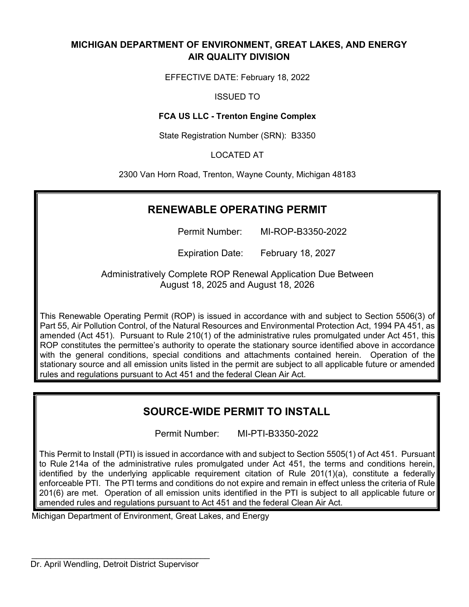## **MICHIGAN DEPARTMENT OF ENVIRONMENT, GREAT LAKES, AND ENERGY AIR QUALITY DIVISION**

EFFECTIVE DATE: February 18, 2022

## ISSUED TO

## **FCA US LLC - Trenton Engine Complex**

State Registration Number (SRN): B3350

## LOCATED AT

2300 Van Horn Road, Trenton, Wayne County, Michigan 48183

## **RENEWABLE OPERATING PERMIT**

Permit Number: MI-ROP-B3350-2022

Expiration Date: February 18, 2027

Administratively Complete ROP Renewal Application Due Between August 18, 2025 and August 18, 2026

This Renewable Operating Permit (ROP) is issued in accordance with and subject to Section 5506(3) of Part 55, Air Pollution Control, of the Natural Resources and Environmental Protection Act, 1994 PA 451, as amended (Act 451). Pursuant to Rule 210(1) of the administrative rules promulgated under Act 451, this ROP constitutes the permittee's authority to operate the stationary source identified above in accordance with the general conditions, special conditions and attachments contained herein. Operation of the stationary source and all emission units listed in the permit are subject to all applicable future or amended rules and regulations pursuant to Act 451 and the federal Clean Air Act.

## **SOURCE-WIDE PERMIT TO INSTALL**

Permit Number: MI-PTI-B3350-2022

This Permit to Install (PTI) is issued in accordance with and subject to Section 5505(1) of Act 451. Pursuant to Rule 214a of the administrative rules promulgated under Act 451, the terms and conditions herein, identified by the underlying applicable requirement citation of Rule 201(1)(a), constitute a federally enforceable PTI. The PTl terms and conditions do not expire and remain in effect unless the criteria of Rule 201(6) are met. Operation of all emission units identified in the PTI is subject to all applicable future or amended rules and regulations pursuant to Act 451 and the federal Clean Air Act.

Michigan Department of Environment, Great Lakes, and Energy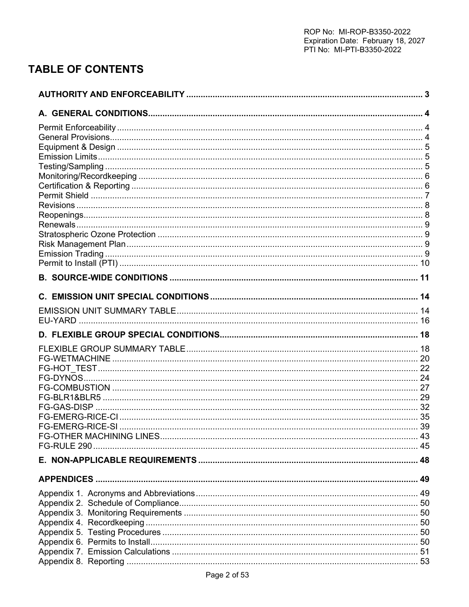# **TABLE OF CONTENTS**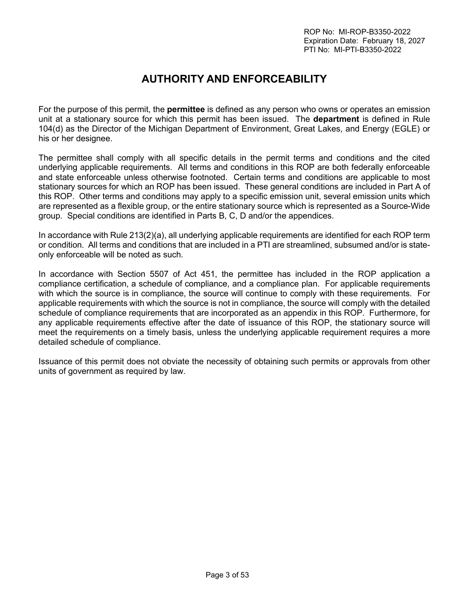# **AUTHORITY AND ENFORCEABILITY**

<span id="page-2-0"></span>For the purpose of this permit, the **permittee** is defined as any person who owns or operates an emission unit at a stationary source for which this permit has been issued. The **department** is defined in Rule 104(d) as the Director of the Michigan Department of Environment, Great Lakes, and Energy (EGLE) or his or her designee.

The permittee shall comply with all specific details in the permit terms and conditions and the cited underlying applicable requirements. All terms and conditions in this ROP are both federally enforceable and state enforceable unless otherwise footnoted. Certain terms and conditions are applicable to most stationary sources for which an ROP has been issued. These general conditions are included in Part A of this ROP. Other terms and conditions may apply to a specific emission unit, several emission units which are represented as a flexible group, or the entire stationary source which is represented as a Source-Wide group. Special conditions are identified in Parts B, C, D and/or the appendices.

In accordance with Rule 213(2)(a), all underlying applicable requirements are identified for each ROP term or condition. All terms and conditions that are included in a PTI are streamlined, subsumed and/or is stateonly enforceable will be noted as such.

In accordance with Section 5507 of Act 451, the permittee has included in the ROP application a compliance certification, a schedule of compliance, and a compliance plan. For applicable requirements with which the source is in compliance, the source will continue to comply with these requirements. For applicable requirements with which the source is not in compliance, the source will comply with the detailed schedule of compliance requirements that are incorporated as an appendix in this ROP. Furthermore, for any applicable requirements effective after the date of issuance of this ROP, the stationary source will meet the requirements on a timely basis, unless the underlying applicable requirement requires a more detailed schedule of compliance.

Issuance of this permit does not obviate the necessity of obtaining such permits or approvals from other units of government as required by law.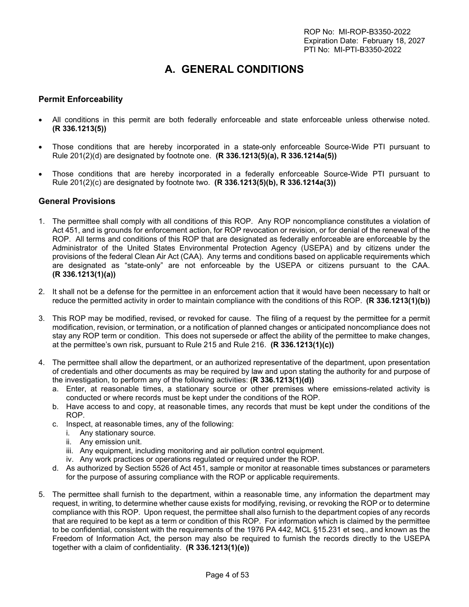# **A. GENERAL CONDITIONS**

## <span id="page-3-1"></span><span id="page-3-0"></span>**Permit Enforceability**

- All conditions in this permit are both federally enforceable and state enforceable unless otherwise noted. **(R 336.1213(5))**
- Those conditions that are hereby incorporated in a state-only enforceable Source-Wide PTI pursuant to Rule 201(2)(d) are designated by footnote one. **(R 336.1213(5)(a), R 336.1214a(5))**
- Those conditions that are hereby incorporated in a federally enforceable Source-Wide PTI pursuant to Rule 201(2)(c) are designated by footnote two. **(R 336.1213(5)(b), R 336.1214a(3))**

#### <span id="page-3-2"></span>**General Provisions**

- 1. The permittee shall comply with all conditions of this ROP. Any ROP noncompliance constitutes a violation of Act 451, and is grounds for enforcement action, for ROP revocation or revision, or for denial of the renewal of the ROP. All terms and conditions of this ROP that are designated as federally enforceable are enforceable by the Administrator of the United States Environmental Protection Agency (USEPA) and by citizens under the provisions of the federal Clean Air Act (CAA). Any terms and conditions based on applicable requirements which are designated as "state-only" are not enforceable by the USEPA or citizens pursuant to the CAA. **(R 336.1213(1)(a))**
- 2. It shall not be a defense for the permittee in an enforcement action that it would have been necessary to halt or reduce the permitted activity in order to maintain compliance with the conditions of this ROP. **(R 336.1213(1)(b))**
- 3. This ROP may be modified, revised, or revoked for cause. The filing of a request by the permittee for a permit modification, revision, or termination, or a notification of planned changes or anticipated noncompliance does not stay any ROP term or condition. This does not supersede or affect the ability of the permittee to make changes, at the permittee's own risk, pursuant to Rule 215 and Rule 216. **(R 336.1213(1)(c))**
- 4. The permittee shall allow the department, or an authorized representative of the department, upon presentation of credentials and other documents as may be required by law and upon stating the authority for and purpose of the investigation, to perform any of the following activities: **(R 336.1213(1)(d))**
	- a. Enter, at reasonable times, a stationary source or other premises where emissions-related activity is conducted or where records must be kept under the conditions of the ROP.
	- b. Have access to and copy, at reasonable times, any records that must be kept under the conditions of the ROP.
	- c. Inspect, at reasonable times, any of the following:
		- i. Any stationary source.
		- ii. Any emission unit.
		- iii. Any equipment, including monitoring and air pollution control equipment.
		- iv. Any work practices or operations regulated or required under the ROP.
	- d. As authorized by Section 5526 of Act 451, sample or monitor at reasonable times substances or parameters for the purpose of assuring compliance with the ROP or applicable requirements.
- 5. The permittee shall furnish to the department, within a reasonable time, any information the department may request, in writing, to determine whether cause exists for modifying, revising, or revoking the ROP or to determine compliance with this ROP. Upon request, the permittee shall also furnish to the department copies of any records that are required to be kept as a term or condition of this ROP. For information which is claimed by the permittee to be confidential, consistent with the requirements of the 1976 PA 442, MCL §15.231 et seq., and known as the Freedom of Information Act, the person may also be required to furnish the records directly to the USEPA together with a claim of confidentiality. **(R 336.1213(1)(e))**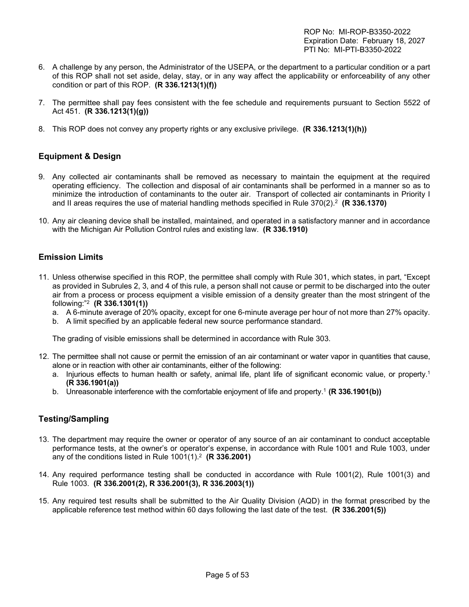- 6. A challenge by any person, the Administrator of the USEPA, or the department to a particular condition or a part of this ROP shall not set aside, delay, stay, or in any way affect the applicability or enforceability of any other condition or part of this ROP. **(R 336.1213(1)(f))**
- 7. The permittee shall pay fees consistent with the fee schedule and requirements pursuant to Section 5522 of Act 451. **(R 336.1213(1)(g))**
- 8. This ROP does not convey any property rights or any exclusive privilege. **(R 336.1213(1)(h))**

## <span id="page-4-0"></span>**Equipment & Design**

- 9. Any collected air contaminants shall be removed as necessary to maintain the equipment at the required operating efficiency. The collection and disposal of air contaminants shall be performed in a manner so as to minimize the introduction of contaminants to the outer air. Transport of collected air contaminants in Priority I and II areas requires the use of material handling methods specified in Rule 370(2).<sup>2</sup> **(R 336.1370)**
- 10. Any air cleaning device shall be installed, maintained, and operated in a satisfactory manner and in accordance with the Michigan Air Pollution Control rules and existing law. **(R 336.1910)**

## <span id="page-4-1"></span>**Emission Limits**

- 11. Unless otherwise specified in this ROP, the permittee shall comply with Rule 301, which states, in part, "Except as provided in Subrules 2, 3, and 4 of this rule, a person shall not cause or permit to be discharged into the outer air from a process or process equipment a visible emission of a density greater than the most stringent of the following:"<sup>2</sup> **(R 336.1301(1))**
	- a. A 6-minute average of 20% opacity, except for one 6-minute average per hour of not more than 27% opacity.
	- b. A limit specified by an applicable federal new source performance standard.

The grading of visible emissions shall be determined in accordance with Rule 303.

- 12. The permittee shall not cause or permit the emission of an air contaminant or water vapor in quantities that cause, alone or in reaction with other air contaminants, either of the following:
	- a. Injurious effects to human health or safety, animal life, plant life of significant economic value, or property.<sup>1</sup> **(R 336.1901(a))**
	- b. Unreasonable interference with the comfortable enjoyment of life and property.<sup>1</sup> **(R 336.1901(b))**

## <span id="page-4-2"></span>**Testing/Sampling**

- 13. The department may require the owner or operator of any source of an air contaminant to conduct acceptable performance tests, at the owner's or operator's expense, in accordance with Rule 1001 and Rule 1003, under any of the conditions listed in Rule 1001(1).<sup>2</sup> **(R 336.2001)**
- 14. Any required performance testing shall be conducted in accordance with Rule 1001(2), Rule 1001(3) and Rule 1003. **(R 336.2001(2), R 336.2001(3), R 336.2003(1))**
- 15. Any required test results shall be submitted to the Air Quality Division (AQD) in the format prescribed by the applicable reference test method within 60 days following the last date of the test. **(R 336.2001(5))**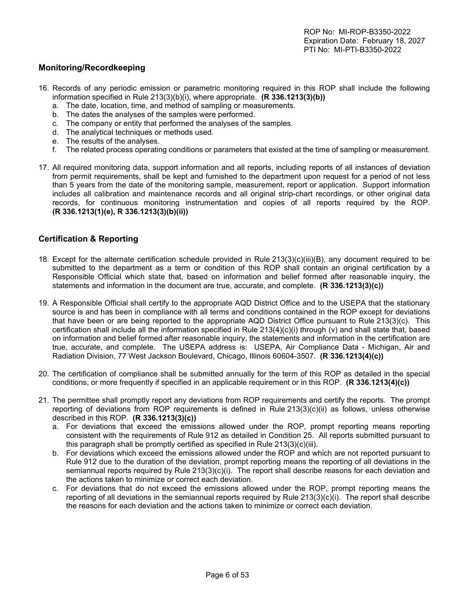## <span id="page-5-0"></span>**Monitoring/Recordkeeping**

- 16. Records of any periodic emission or parametric monitoring required in this ROP shall include the following information specified in Rule 213(3)(b)(i), where appropriate. **(R 336.1213(3)(b))**
	- a. The date, location, time, and method of sampling or measurements.
	- b. The dates the analyses of the samples were performed.
	- c. The company or entity that performed the analyses of the samples.
	- d. The analytical techniques or methods used.
	- e. The results of the analyses.
	- f. The related process operating conditions or parameters that existed at the time of sampling or measurement.
- 17. All required monitoring data, support information and all reports, including reports of all instances of deviation from permit requirements, shall be kept and furnished to the department upon request for a period of not less than 5 years from the date of the monitoring sample, measurement, report or application. Support information includes all calibration and maintenance records and all original strip-chart recordings, or other original data records, for continuous monitoring instrumentation and copies of all reports required by the ROP. **(R 336.1213(1)(e), R 336.1213(3)(b)(ii))**

## <span id="page-5-1"></span>**Certification & Reporting**

- 18. Except for the alternate certification schedule provided in Rule 213(3)(c)(iii)(B), any document required to be submitted to the department as a term or condition of this ROP shall contain an original certification by a Responsible Official which state that, based on information and belief formed after reasonable inquiry, the statements and information in the document are true, accurate, and complete. **(R 336.1213(3)(c))**
- 19. A Responsible Official shall certify to the appropriate AQD District Office and to the USEPA that the stationary source is and has been in compliance with all terms and conditions contained in the ROP except for deviations that have been or are being reported to the appropriate AQD District Office pursuant to Rule 213(3)(c). This certification shall include all the information specified in Rule 213(4)(c)(i) through (v) and shall state that, based on information and belief formed after reasonable inquiry, the statements and information in the certification are true, accurate, and complete. The USEPA address is: USEPA, Air Compliance Data - Michigan, Air and Radiation Division, 77 West Jackson Boulevard, Chicago, Illinois 60604-3507. **(R 336.1213(4)(c))**
- 20. The certification of compliance shall be submitted annually for the term of this ROP as detailed in the special conditions, or more frequently if specified in an applicable requirement or in this ROP. **(R 336.1213(4)(c))**
- 21. The permittee shall promptly report any deviations from ROP requirements and certify the reports. The prompt reporting of deviations from ROP requirements is defined in Rule 213(3)(c)(ii) as follows, unless otherwise described in this ROP. **(R 336.1213(3)(c))**
	- a. For deviations that exceed the emissions allowed under the ROP, prompt reporting means reporting consistent with the requirements of Rule 912 as detailed in Condition 25. All reports submitted pursuant to this paragraph shall be promptly certified as specified in Rule 213(3)(c)(iii).
	- b. For deviations which exceed the emissions allowed under the ROP and which are not reported pursuant to Rule 912 due to the duration of the deviation, prompt reporting means the reporting of all deviations in the semiannual reports required by Rule 213(3)(c)(i). The report shall describe reasons for each deviation and the actions taken to minimize or correct each deviation.
	- c. For deviations that do not exceed the emissions allowed under the ROP, prompt reporting means the reporting of all deviations in the semiannual reports required by Rule 213(3)(c)(i). The report shall describe the reasons for each deviation and the actions taken to minimize or correct each deviation.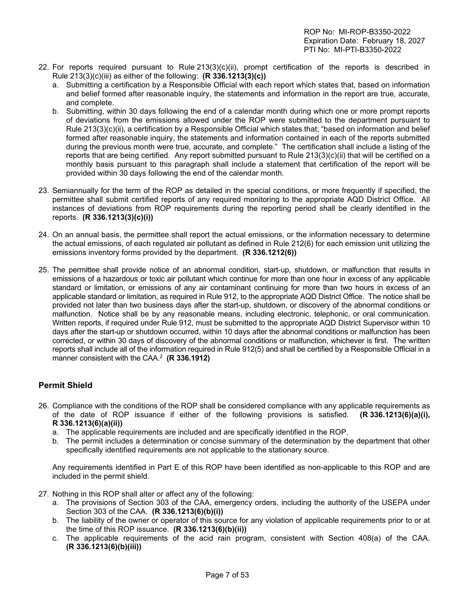- 22. For reports required pursuant to Rule 213(3)(c)(ii), prompt certification of the reports is described in Rule 213(3)(c)(iii) as either of the following: **(R 336.1213(3)(c))**
	- a. Submitting a certification by a Responsible Official with each report which states that, based on information and belief formed after reasonable inquiry, the statements and information in the report are true, accurate, and complete.
	- b. Submitting, within 30 days following the end of a calendar month during which one or more prompt reports of deviations from the emissions allowed under the ROP were submitted to the department pursuant to Rule 213(3)(c)(ii), a certification by a Responsible Official which states that; "based on information and belief formed after reasonable inquiry, the statements and information contained in each of the reports submitted during the previous month were true, accurate, and complete." The certification shall include a listing of the reports that are being certified. Any report submitted pursuant to Rule 213(3)(c)(ii) that will be certified on a monthly basis pursuant to this paragraph shall include a statement that certification of the report will be provided within 30 days following the end of the calendar month.
- 23. Semiannually for the term of the ROP as detailed in the special conditions, or more frequently if specified, the permittee shall submit certified reports of any required monitoring to the appropriate AQD District Office. All instances of deviations from ROP requirements during the reporting period shall be clearly identified in the reports. **(R 336.1213(3)(c)(i))**
- 24. On an annual basis, the permittee shall report the actual emissions, or the information necessary to determine the actual emissions, of each regulated air pollutant as defined in Rule 212(6) for each emission unit utilizing the emissions inventory forms provided by the department. **(R 336.1212(6))**
- 25. The permittee shall provide notice of an abnormal condition, start-up, shutdown, or malfunction that results in emissions of a hazardous or toxic air pollutant which continue for more than one hour in excess of any applicable standard or limitation, or emissions of any air contaminant continuing for more than two hours in excess of an applicable standard or limitation, as required in Rule 912, to the appropriate AQD District Office. The notice shall be provided not later than two business days after the start-up, shutdown, or discovery of the abnormal conditions or malfunction. Notice shall be by any reasonable means, including electronic, telephonic, or oral communication. Written reports, if required under Rule 912, must be submitted to the appropriate AQD District Supervisor within 10 days after the start-up or shutdown occurred, within 10 days after the abnormal conditions or malfunction has been corrected, or within 30 days of discovery of the abnormal conditions or malfunction, whichever is first. The written reports shall include all of the information required in Rule 912(5) and shall be certified by a Responsible Official in a manner consistent with the CAA.<sup>2</sup> **(R 336.1912)**

## <span id="page-6-0"></span>**Permit Shield**

- 26. Compliance with the conditions of the ROP shall be considered compliance with any applicable requirements as of the date of ROP issuance if either of the following provisions is satisfied. **(R 336.1213(6)(a)(i), R 336.1213(6)(a)(ii))**
	- a. The applicable requirements are included and are specifically identified in the ROP.
	- b. The permit includes a determination or concise summary of the determination by the department that other specifically identified requirements are not applicable to the stationary source.

Any requirements identified in Part E of this ROP have been identified as non-applicable to this ROP and are included in the permit shield.

- 27. Nothing in this ROP shall alter or affect any of the following:
	- a. The provisions of Section 303 of the CAA, emergency orders, including the authority of the USEPA under Section 303 of the CAA. **(R 336.1213(6)(b)(i))**
	- b. The liability of the owner or operator of this source for any violation of applicable requirements prior to or at the time of this ROP issuance. **(R 336.1213(6)(b)(ii))**
	- c. The applicable requirements of the acid rain program, consistent with Section 408(a) of the CAA. **(R 336.1213(6)(b)(iii))**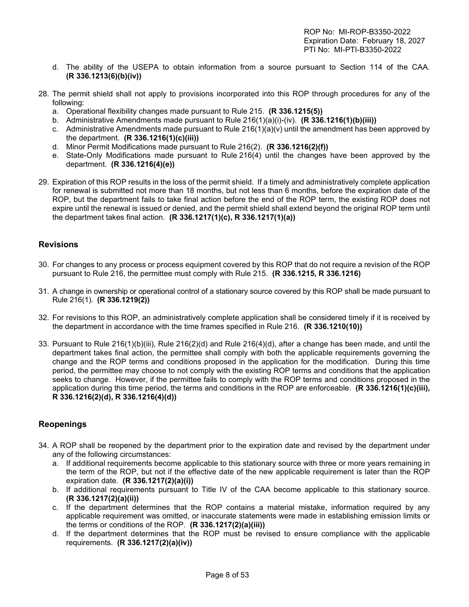- d. The ability of the USEPA to obtain information from a source pursuant to Section 114 of the CAA. **(R 336.1213(6)(b)(iv))**
- 28. The permit shield shall not apply to provisions incorporated into this ROP through procedures for any of the following:
	- a. Operational flexibility changes made pursuant to Rule 215. **(R 336.1215(5))**
	- b. Administrative Amendments made pursuant to Rule 216(1)(a)(i)-(iv). **(R 336.1216(1)(b)(iii))**
	- c. Administrative Amendments made pursuant to Rule  $216(1)(a)(v)$  until the amendment has been approved by the department. **(R 336.1216(1)(c)(iii))**
	- d. Minor Permit Modifications made pursuant to Rule 216(2). **(R 336.1216(2)(f))**
	- e. State-Only Modifications made pursuant to Rule 216(4) until the changes have been approved by the department. **(R 336.1216(4)(e))**
- 29. Expiration of this ROP results in the loss of the permit shield. If a timely and administratively complete application for renewal is submitted not more than 18 months, but not less than 6 months, before the expiration date of the ROP, but the department fails to take final action before the end of the ROP term, the existing ROP does not expire until the renewal is issued or denied, and the permit shield shall extend beyond the original ROP term until the department takes final action. **(R 336.1217(1)(c), R 336.1217(1)(a))**

### <span id="page-7-0"></span>**Revisions**

- 30. For changes to any process or process equipment covered by this ROP that do not require a revision of the ROP pursuant to Rule 216, the permittee must comply with Rule 215. **(R 336.1215, R 336.1216)**
- 31. A change in ownership or operational control of a stationary source covered by this ROP shall be made pursuant to Rule 216(1). **(R 336.1219(2))**
- 32. For revisions to this ROP, an administratively complete application shall be considered timely if it is received by the department in accordance with the time frames specified in Rule 216. **(R 336.1210(10))**
- 33. Pursuant to Rule 216(1)(b)(iii), Rule 216(2)(d) and Rule 216(4)(d), after a change has been made, and until the department takes final action, the permittee shall comply with both the applicable requirements governing the change and the ROP terms and conditions proposed in the application for the modification. During this time period, the permittee may choose to not comply with the existing ROP terms and conditions that the application seeks to change. However, if the permittee fails to comply with the ROP terms and conditions proposed in the application during this time period, the terms and conditions in the ROP are enforceable. **(R 336.1216(1)(c)(iii), R 336.1216(2)(d), R 336.1216(4)(d))**

### <span id="page-7-1"></span>**Reopenings**

- 34. A ROP shall be reopened by the department prior to the expiration date and revised by the department under any of the following circumstances:
	- a. If additional requirements become applicable to this stationary source with three or more years remaining in the term of the ROP, but not if the effective date of the new applicable requirement is later than the ROP expiration date. **(R 336.1217(2)(a)(i))**
	- b. If additional requirements pursuant to Title IV of the CAA become applicable to this stationary source. **(R 336.1217(2)(a)(ii))**
	- c. If the department determines that the ROP contains a material mistake, information required by any applicable requirement was omitted, or inaccurate statements were made in establishing emission limits or the terms or conditions of the ROP. **(R 336.1217(2)(a)(iii))**
	- d. If the department determines that the ROP must be revised to ensure compliance with the applicable requirements. **(R 336.1217(2)(a)(iv))**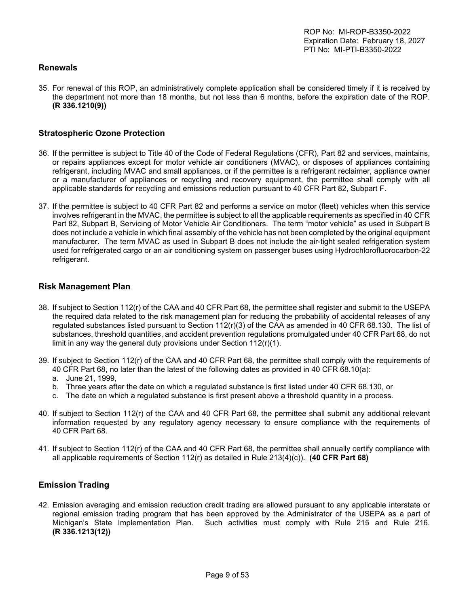## <span id="page-8-0"></span>**Renewals**

35. For renewal of this ROP, an administratively complete application shall be considered timely if it is received by the department not more than 18 months, but not less than 6 months, before the expiration date of the ROP. **(R 336.1210(9))**

## <span id="page-8-1"></span>**Stratospheric Ozone Protection**

- 36. If the permittee is subject to Title 40 of the Code of Federal Regulations (CFR), Part 82 and services, maintains, or repairs appliances except for motor vehicle air conditioners (MVAC), or disposes of appliances containing refrigerant, including MVAC and small appliances, or if the permittee is a refrigerant reclaimer, appliance owner or a manufacturer of appliances or recycling and recovery equipment, the permittee shall comply with all applicable standards for recycling and emissions reduction pursuant to 40 CFR Part 82, Subpart F.
- 37. If the permittee is subject to 40 CFR Part 82 and performs a service on motor (fleet) vehicles when this service involves refrigerant in the MVAC, the permittee is subject to all the applicable requirements as specified in 40 CFR Part 82, Subpart B, Servicing of Motor Vehicle Air Conditioners. The term "motor vehicle" as used in Subpart B does not include a vehicle in which final assembly of the vehicle has not been completed by the original equipment manufacturer. The term MVAC as used in Subpart B does not include the air-tight sealed refrigeration system used for refrigerated cargo or an air conditioning system on passenger buses using Hydrochlorofluorocarbon-22 refrigerant.

### <span id="page-8-2"></span>**Risk Management Plan**

- 38. If subject to Section 112(r) of the CAA and 40 CFR Part 68, the permittee shall register and submit to the USEPA the required data related to the risk management plan for reducing the probability of accidental releases of any regulated substances listed pursuant to Section 112(r)(3) of the CAA as amended in 40 CFR 68.130. The list of substances, threshold quantities, and accident prevention regulations promulgated under 40 CFR Part 68, do not limit in any way the general duty provisions under Section 112(r)(1).
- 39. If subject to Section 112(r) of the CAA and 40 CFR Part 68, the permittee shall comply with the requirements of 40 CFR Part 68, no later than the latest of the following dates as provided in 40 CFR 68.10(a):
	- a. June 21, 1999,
	- b. Three years after the date on which a regulated substance is first listed under 40 CFR 68.130, or
	- c. The date on which a regulated substance is first present above a threshold quantity in a process.
- 40. If subject to Section 112(r) of the CAA and 40 CFR Part 68, the permittee shall submit any additional relevant information requested by any regulatory agency necessary to ensure compliance with the requirements of 40 CFR Part 68.
- 41. If subject to Section 112(r) of the CAA and 40 CFR Part 68, the permittee shall annually certify compliance with all applicable requirements of Section 112(r) as detailed in Rule 213(4)(c)). **(40 CFR Part 68)**

### <span id="page-8-3"></span>**Emission Trading**

42. Emission averaging and emission reduction credit trading are allowed pursuant to any applicable interstate or regional emission trading program that has been approved by the Administrator of the USEPA as a part of Michigan's State Implementation Plan. Such activities must comply with Rule 215 and Rule 216. **(R 336.1213(12))**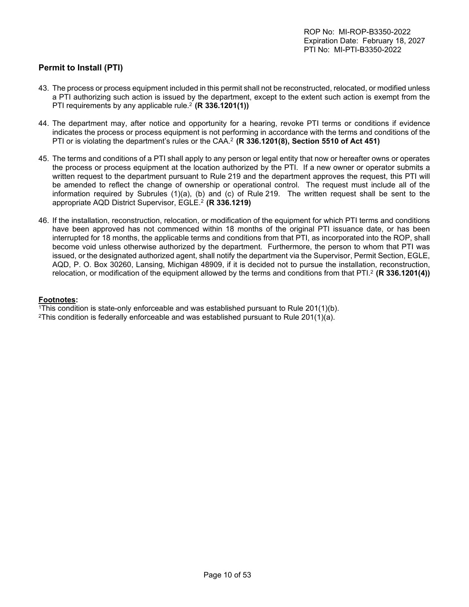## <span id="page-9-0"></span>**Permit to Install (PTI)**

- 43. The process or process equipment included in this permit shall not be reconstructed, relocated, or modified unless a PTI authorizing such action is issued by the department, except to the extent such action is exempt from the PTI requirements by any applicable rule.<sup>2</sup> (R 336.1201(1))
- 44. The department may, after notice and opportunity for a hearing, revoke PTI terms or conditions if evidence indicates the process or process equipment is not performing in accordance with the terms and conditions of the PTI or is violating the department's rules or the CAA.<sup>2</sup>**(R 336.1201(8), Section 5510 of Act 451)**
- 45. The terms and conditions of a PTI shall apply to any person or legal entity that now or hereafter owns or operates the process or process equipment at the location authorized by the PTI. If a new owner or operator submits a written request to the department pursuant to Rule 219 and the department approves the request, this PTI will be amended to reflect the change of ownership or operational control. The request must include all of the information required by Subrules (1)(a), (b) and (c) of Rule 219. The written request shall be sent to the appropriate AQD District Supervisor, EGLE.<sup>2</sup> **(R 336.1219)**
- 46. If the installation, reconstruction, relocation, or modification of the equipment for which PTI terms and conditions have been approved has not commenced within 18 months of the original PTI issuance date, or has been interrupted for 18 months, the applicable terms and conditions from that PTI, as incorporated into the ROP, shall become void unless otherwise authorized by the department. Furthermore, the person to whom that PTI was issued, or the designated authorized agent, shall notify the department via the Supervisor, Permit Section, EGLE, AQD, P. O. Box 30260, Lansing, Michigan 48909, if it is decided not to pursue the installation, reconstruction, relocation, or modification of the equipment allowed by the terms and conditions from that PTI.<sup>2</sup> (R 336.1201(4))

#### **Footnotes:**

<sup>1</sup>This condition is state-only enforceable and was established pursuant to Rule 201(1)(b).

<sup>2</sup>This condition is federally enforceable and was established pursuant to Rule 201(1)(a).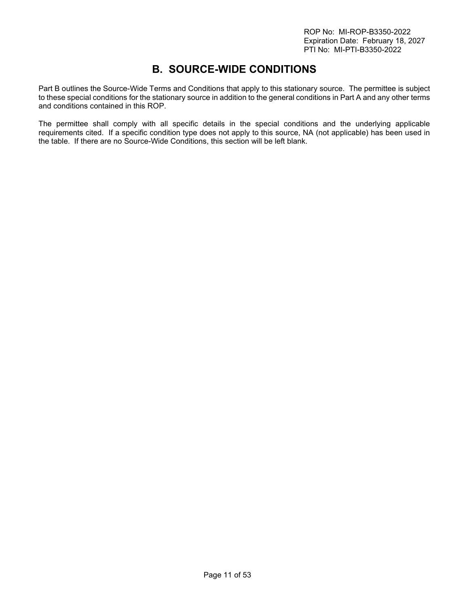## **B. SOURCE-WIDE CONDITIONS**

<span id="page-10-0"></span>Part B outlines the Source-Wide Terms and Conditions that apply to this stationary source. The permittee is subject to these special conditions for the stationary source in addition to the general conditions in Part A and any other terms and conditions contained in this ROP.

The permittee shall comply with all specific details in the special conditions and the underlying applicable requirements cited. If a specific condition type does not apply to this source, NA (not applicable) has been used in the table. If there are no Source-Wide Conditions, this section will be left blank.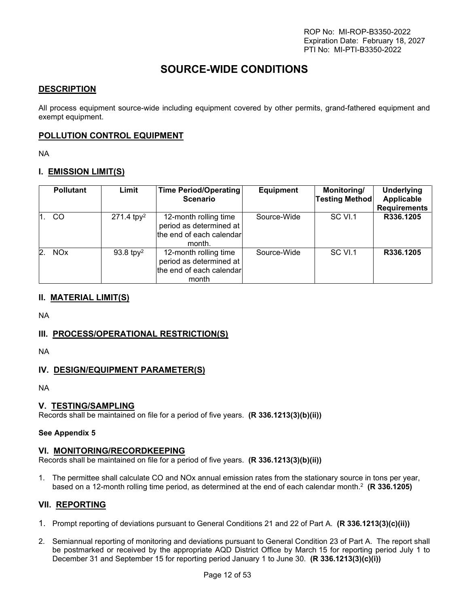## **SOURCE-WIDE CONDITIONS**

## **DESCRIPTION**

All process equipment source-wide including equipment covered by other permits, grand-fathered equipment and exempt equipment.

## **POLLUTION CONTROL EQUIPMENT**

NA

## **I. EMISSION LIMIT(S)**

| <b>Pollutant</b> | Limit                    | Time Period/Operating<br><b>Scenario</b>                                               | <b>Equipment</b> | Monitoring/<br><b>Testing Method</b> | <b>Underlying</b><br>Applicable<br><b>Requirements</b> |
|------------------|--------------------------|----------------------------------------------------------------------------------------|------------------|--------------------------------------|--------------------------------------------------------|
| CO               | $271.4$ tpy <sup>2</sup> | 12-month rolling time<br>period as determined at<br>the end of each calendar<br>month. | Source-Wide      | SC VI.1                              | R336.1205                                              |
| <b>NOx</b>       | 93.8 tpy <sup>2</sup>    | 12-month rolling time<br>period as determined at<br>the end of each calendar<br>month  | Source-Wide      | SC VI.1                              | R336.1205                                              |

### **II. MATERIAL LIMIT(S)**

NA

### **III. PROCESS/OPERATIONAL RESTRICTION(S)**

NA

## **IV. DESIGN/EQUIPMENT PARAMETER(S)**

NA

### **V. TESTING/SAMPLING**

Records shall be maintained on file for a period of five years. **(R 336.1213(3)(b)(ii))**

#### **See Appendix 5**

### **VI. MONITORING/RECORDKEEPING**

Records shall be maintained on file for a period of five years. **(R 336.1213(3)(b)(ii))**

1. The permittee shall calculate CO and NOx annual emission rates from the stationary source in tons per year, based on a 12-month rolling time period, as determined at the end of each calendar month.<sup>2</sup> **(R 336.1205)**

### **VII. REPORTING**

- 1. Prompt reporting of deviations pursuant to General Conditions 21 and 22 of Part A. **(R 336.1213(3)(c)(ii))**
- 2. Semiannual reporting of monitoring and deviations pursuant to General Condition 23 of Part A. The report shall be postmarked or received by the appropriate AQD District Office by March 15 for reporting period July 1 to December 31 and September 15 for reporting period January 1 to June 30. **(R 336.1213(3)(c)(i))**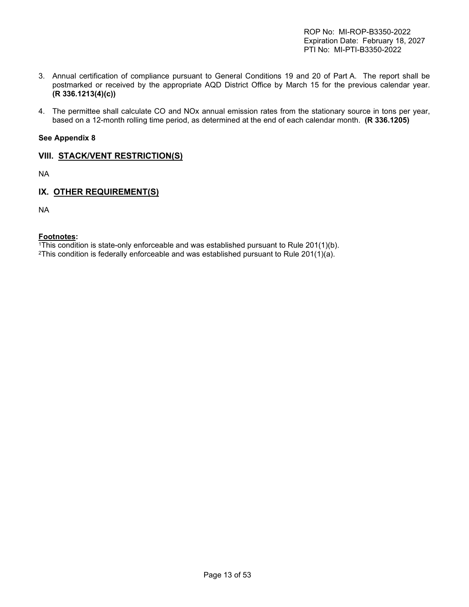- 3. Annual certification of compliance pursuant to General Conditions 19 and 20 of Part A. The report shall be postmarked or received by the appropriate AQD District Office by March 15 for the previous calendar year. **(R 336.1213(4)(c))**
- 4. The permittee shall calculate CO and NOx annual emission rates from the stationary source in tons per year, based on a 12-month rolling time period, as determined at the end of each calendar month. **(R 336.1205)**

#### **See Appendix 8**

## **VIII. STACK/VENT RESTRICTION(S)**

NA

## **IX. OTHER REQUIREMENT(S)**

NA

#### **Footnotes:**

<sup>1</sup>This condition is state-only enforceable and was established pursuant to Rule 201(1)(b).

<sup>2</sup>This condition is federally enforceable and was established pursuant to Rule  $201(1)(a)$ .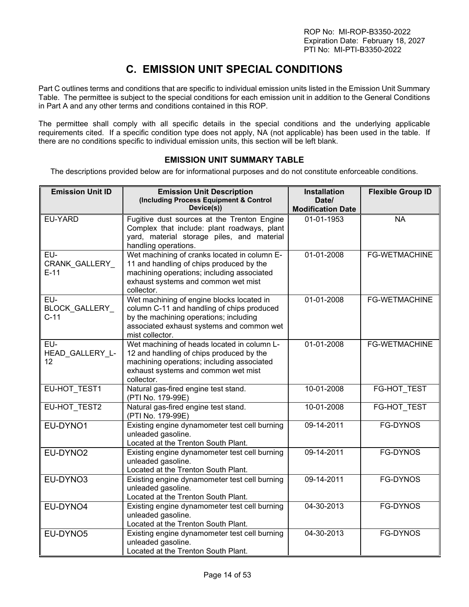# **C. EMISSION UNIT SPECIAL CONDITIONS**

<span id="page-13-0"></span>Part C outlines terms and conditions that are specific to individual emission units listed in the Emission Unit Summary Table. The permittee is subject to the special conditions for each emission unit in addition to the General Conditions in Part A and any other terms and conditions contained in this ROP.

The permittee shall comply with all specific details in the special conditions and the underlying applicable requirements cited. If a specific condition type does not apply, NA (not applicable) has been used in the table. If there are no conditions specific to individual emission units, this section will be left blank.

## **EMISSION UNIT SUMMARY TABLE**

<span id="page-13-1"></span>The descriptions provided below are for informational purposes and do not constitute enforceable conditions.

| <b>Emission Unit ID</b>               | <b>Emission Unit Description</b>                                                                                                                                                                  | <b>Installation</b>               | <b>Flexible Group ID</b> |
|---------------------------------------|---------------------------------------------------------------------------------------------------------------------------------------------------------------------------------------------------|-----------------------------------|--------------------------|
|                                       | (Including Process Equipment & Control<br>Device(s))                                                                                                                                              | Date/<br><b>Modification Date</b> |                          |
| EU-YARD                               | Fugitive dust sources at the Trenton Engine<br>Complex that include: plant roadways, plant<br>yard, material storage piles, and material<br>handling operations.                                  | 01-01-1953                        | <b>NA</b>                |
| EU-<br><b>CRANK GALLERY</b><br>$E-11$ | Wet machining of cranks located in column E-<br>11 and handling of chips produced by the<br>machining operations; including associated<br>exhaust systems and common wet mist<br>collector.       | 01-01-2008                        | <b>FG-WETMACHINE</b>     |
| EU-<br>BLOCK_GALLERY_<br>$C-11$       | Wet machining of engine blocks located in<br>column C-11 and handling of chips produced<br>by the machining operations; including<br>associated exhaust systems and common wet<br>mist collector. | 01-01-2008                        | <b>FG-WETMACHINE</b>     |
| EU-<br>HEAD_GALLERY_L-<br>12          | Wet machining of heads located in column L-<br>12 and handling of chips produced by the<br>machining operations; including associated<br>exhaust systems and common wet mist<br>collector.        | 01-01-2008                        | <b>FG-WETMACHINE</b>     |
| EU-HOT_TEST1                          | Natural gas-fired engine test stand.<br>(PTI No. 179-99E)                                                                                                                                         | 10-01-2008                        | FG-HOT_TEST              |
| EU-HOT TEST2                          | Natural gas-fired engine test stand.<br>(PTI No. 179-99E)                                                                                                                                         | 10-01-2008                        | <b>FG-HOT TEST</b>       |
| EU-DYNO1                              | Existing engine dynamometer test cell burning<br>unleaded gasoline.<br>Located at the Trenton South Plant.                                                                                        | 09-14-2011                        | FG-DYNOS                 |
| EU-DYNO2                              | Existing engine dynamometer test cell burning<br>unleaded gasoline.<br>Located at the Trenton South Plant.                                                                                        | 09-14-2011                        | FG-DYNOS                 |
| EU-DYNO3                              | Existing engine dynamometer test cell burning<br>unleaded gasoline.<br>Located at the Trenton South Plant.                                                                                        | 09-14-2011                        | <b>FG-DYNOS</b>          |
| EU-DYNO4                              | Existing engine dynamometer test cell burning<br>unleaded gasoline.<br>Located at the Trenton South Plant.                                                                                        | 04-30-2013                        | <b>FG-DYNOS</b>          |
| EU-DYNO5                              | Existing engine dynamometer test cell burning<br>unleaded gasoline.<br>Located at the Trenton South Plant.                                                                                        | 04-30-2013                        | <b>FG-DYNOS</b>          |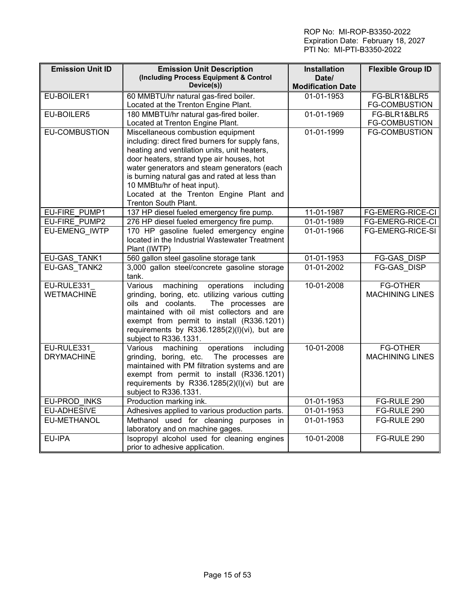| <b>Emission Unit ID</b> | <b>Emission Unit Description</b>                                       | <b>Installation</b>      | <b>Flexible Group ID</b> |
|-------------------------|------------------------------------------------------------------------|--------------------------|--------------------------|
|                         | (Including Process Equipment & Control<br>Device(s))                   | Date/                    |                          |
|                         |                                                                        | <b>Modification Date</b> |                          |
| EU-BOILER1              | 60 MMBTU/hr natural gas-fired boiler.                                  | 01-01-1953               | FG-BLR1&BLR5             |
|                         | Located at the Trenton Engine Plant.                                   |                          | <b>FG-COMBUSTION</b>     |
| EU-BOILER5              | 180 MMBTU/hr natural gas-fired boiler.                                 | 01-01-1969               | FG-BLR1&BLR5             |
|                         | Located at Trenton Engine Plant.                                       |                          | <b>FG-COMBUSTION</b>     |
| <b>EU-COMBUSTION</b>    | Miscellaneous combustion equipment                                     | 01-01-1999               | <b>FG-COMBUSTION</b>     |
|                         | including: direct fired burners for supply fans,                       |                          |                          |
|                         | heating and ventilation units, unit heaters,                           |                          |                          |
|                         | door heaters, strand type air houses, hot                              |                          |                          |
|                         | water generators and steam generators (each                            |                          |                          |
|                         | is burning natural gas and rated at less than                          |                          |                          |
|                         | 10 MMBtu/hr of heat input).                                            |                          |                          |
|                         | Located at the Trenton Engine Plant and                                |                          |                          |
|                         | Trenton South Plant.                                                   |                          |                          |
| EU-FIRE PUMP1           | 137 HP diesel fueled emergency fire pump.                              | 11-01-1987               | <b>FG-EMERG-RICE-CI</b>  |
| EU-FIRE PUMP2           | 276 HP diesel fueled emergency fire pump.                              | 01-01-1989               | FG-EMERG-RICE-CI         |
| <b>EU-EMENG IWTP</b>    | 170 HP gasoline fueled emergency engine                                | 01-01-1966               | FG-EMERG-RICE-SI         |
|                         | located in the Industrial Wastewater Treatment                         |                          |                          |
|                         | Plant (IWTP)                                                           |                          |                          |
| EU-GAS TANK1            | 560 gallon steel gasoline storage tank                                 | 01-01-1953               | <b>FG-GAS DISP</b>       |
| EU-GAS TANK2            | 3,000 gallon steel/concrete gasoline storage                           | 01-01-2002               | <b>FG-GAS DISP</b>       |
|                         | tank.                                                                  |                          |                          |
| EU-RULE331              | $\overline{\mathsf{V}}$ arious<br>machining<br>operations<br>including | 10-01-2008               | <b>FG-OTHER</b>          |
| <b>WETMACHINE</b>       | grinding, boring, etc. utilizing various cutting                       |                          | <b>MACHINING LINES</b>   |
|                         | oils and coolants.<br>The processes are                                |                          |                          |
|                         | maintained with oil mist collectors and are                            |                          |                          |
|                         | exempt from permit to install (R336.1201)                              |                          |                          |
|                         | requirements by R336.1285(2)(l)(vi), but are                           |                          |                          |
|                         | subject to R336.1331.                                                  |                          |                          |
| EU-RULE331              | machining<br>operations<br>including<br>Various                        | 10-01-2008               | <b>FG-OTHER</b>          |
| <b>DRYMACHINE</b>       | grinding, boring, etc. The processes are                               |                          | <b>MACHINING LINES</b>   |
|                         | maintained with PM filtration systems and are                          |                          |                          |
|                         | exempt from permit to install (R336.1201)                              |                          |                          |
|                         | requirements by R336.1285(2)(I)(vi) but are<br>subject to R336.1331.   |                          |                          |
| EU-PROD INKS            | Production marking ink.                                                | 01-01-1953               | FG-RULE 290              |
| EU-ADHESIVE             | Adhesives applied to various production parts.                         | 01-01-1953               | FG-RULE 290              |
| EU-METHANOL             | Methanol used for cleaning purposes in                                 | 01-01-1953               | FG-RULE 290              |
|                         | laboratory and on machine gages.                                       |                          |                          |
| EU-IPA                  | Isopropyl alcohol used for cleaning engines                            | 10-01-2008               | FG-RULE 290              |
|                         | prior to adhesive application.                                         |                          |                          |
|                         |                                                                        |                          |                          |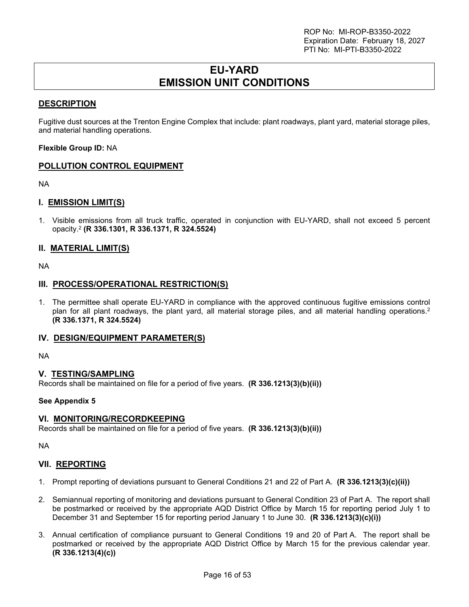## **EU-YARD EMISSION UNIT CONDITIONS**

## <span id="page-15-0"></span>**DESCRIPTION**

Fugitive dust sources at the Trenton Engine Complex that include: plant roadways, plant yard, material storage piles, and material handling operations.

**Flexible Group ID:** NA

## **POLLUTION CONTROL EQUIPMENT**

NA

## **I. EMISSION LIMIT(S)**

1. Visible emissions from all truck traffic, operated in conjunction with EU-YARD, shall not exceed 5 percent opacity.<sup>2</sup>  **(R 336.1301, R 336.1371, R 324.5524)**

### **II. MATERIAL LIMIT(S)**

NA

### **III. PROCESS/OPERATIONAL RESTRICTION(S)**

1. The permittee shall operate EU-YARD in compliance with the approved continuous fugitive emissions control plan for all plant roadways, the plant yard, all material storage piles, and all material handling operations.<sup>2</sup> **(R 336.1371, R 324.5524)**

### **IV. DESIGN/EQUIPMENT PARAMETER(S)**

NA

### **V. TESTING/SAMPLING**

Records shall be maintained on file for a period of five years. **(R 336.1213(3)(b)(ii))**

#### **See Appendix 5**

### **VI. MONITORING/RECORDKEEPING**

Records shall be maintained on file for a period of five years. **(R 336.1213(3)(b)(ii))**

NA

### **VII. REPORTING**

- 1. Prompt reporting of deviations pursuant to General Conditions 21 and 22 of Part A. **(R 336.1213(3)(c)(ii))**
- 2. Semiannual reporting of monitoring and deviations pursuant to General Condition 23 of Part A. The report shall be postmarked or received by the appropriate AQD District Office by March 15 for reporting period July 1 to December 31 and September 15 for reporting period January 1 to June 30. **(R 336.1213(3)(c)(i))**
- 3. Annual certification of compliance pursuant to General Conditions 19 and 20 of Part A. The report shall be postmarked or received by the appropriate AQD District Office by March 15 for the previous calendar year. **(R 336.1213(4)(c))**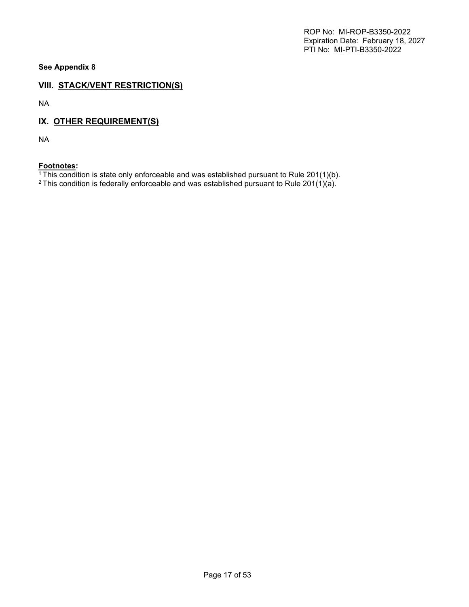**See Appendix 8**

## **VIII. STACK/VENT RESTRICTION(S)**

NA

## **IX. OTHER REQUIREMENT(S)**

NA

## **Footnotes:**

 $1$ <sup>1</sup>This condition is state only enforceable and was established pursuant to Rule 201(1)(b).

<sup>2</sup> This condition is federally enforceable and was established pursuant to Rule 201(1)(a).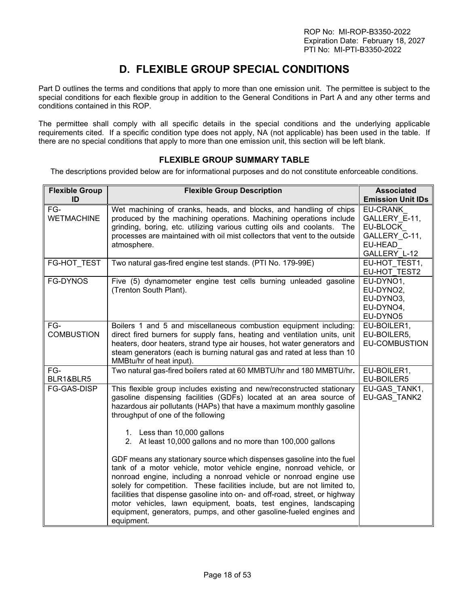# **D. FLEXIBLE GROUP SPECIAL CONDITIONS**

<span id="page-17-0"></span>Part D outlines the terms and conditions that apply to more than one emission unit. The permittee is subject to the special conditions for each flexible group in addition to the General Conditions in Part A and any other terms and conditions contained in this ROP.

The permittee shall comply with all specific details in the special conditions and the underlying applicable requirements cited. If a specific condition type does not apply, NA (not applicable) has been used in the table. If there are no special conditions that apply to more than one emission unit, this section will be left blank.

### **FLEXIBLE GROUP SUMMARY TABLE**

<span id="page-17-1"></span>The descriptions provided below are for informational purposes and do not constitute enforceable conditions.

| <b>Flexible Group</b><br>ID | <b>Flexible Group Description</b>                                                                                                                                                                                                                                                                                                                                                                                                                                                                                                                                                                                                                                                                                                                                                                                                                                                                  | <b>Associated</b><br><b>Emission Unit IDs</b>                                     |
|-----------------------------|----------------------------------------------------------------------------------------------------------------------------------------------------------------------------------------------------------------------------------------------------------------------------------------------------------------------------------------------------------------------------------------------------------------------------------------------------------------------------------------------------------------------------------------------------------------------------------------------------------------------------------------------------------------------------------------------------------------------------------------------------------------------------------------------------------------------------------------------------------------------------------------------------|-----------------------------------------------------------------------------------|
| $FG-$<br><b>WETMACHINE</b>  | Wet machining of cranks, heads, and blocks, and handling of chips<br>produced by the machining operations. Machining operations include<br>grinding, boring, etc. utilizing various cutting oils and coolants. The<br>processes are maintained with oil mist collectors that vent to the outside<br>atmosphere.                                                                                                                                                                                                                                                                                                                                                                                                                                                                                                                                                                                    | EU-CRANK<br>GALLERY E-11,<br>EU-BLOCK<br>GALLERY C-11,<br>EU-HEAD<br>GALLERY L-12 |
| FG-HOT_TEST                 | Two natural gas-fired engine test stands. (PTI No. 179-99E)                                                                                                                                                                                                                                                                                                                                                                                                                                                                                                                                                                                                                                                                                                                                                                                                                                        | EU-HOT TEST1,<br>EU-HOT TEST2                                                     |
| FG-DYNOS                    | Five (5) dynamometer engine test cells burning unleaded gasoline<br>(Trenton South Plant).                                                                                                                                                                                                                                                                                                                                                                                                                                                                                                                                                                                                                                                                                                                                                                                                         | EU-DYNO1,<br>EU-DYNO2,<br>EU-DYNO3,<br>EU-DYNO4,<br>EU-DYNO5                      |
| FG-<br><b>COMBUSTION</b>    | Boilers 1 and 5 and miscellaneous combustion equipment including:<br>direct fired burners for supply fans, heating and ventilation units, unit<br>heaters, door heaters, strand type air houses, hot water generators and<br>steam generators (each is burning natural gas and rated at less than 10<br>MMBtu/hr of heat input).                                                                                                                                                                                                                                                                                                                                                                                                                                                                                                                                                                   | EU-BOILER1,<br>EU-BOILER5,<br>EU-COMBUSTION                                       |
| FG-<br>BLR1&BLR5            | Two natural gas-fired boilers rated at 60 MMBTU/hr and 180 MMBTU/hr.                                                                                                                                                                                                                                                                                                                                                                                                                                                                                                                                                                                                                                                                                                                                                                                                                               | EU-BOILER1,<br>EU-BOILER5                                                         |
| FG-GAS-DISP                 | This flexible group includes existing and new/reconstructed stationary<br>gasoline dispensing facilities (GDFs) located at an area source of<br>hazardous air pollutants (HAPs) that have a maximum monthly gasoline<br>throughput of one of the following<br>1. Less than 10,000 gallons<br>2. At least 10,000 gallons and no more than 100,000 gallons<br>GDF means any stationary source which dispenses gasoline into the fuel<br>tank of a motor vehicle, motor vehicle engine, nonroad vehicle, or<br>nonroad engine, including a nonroad vehicle or nonroad engine use<br>solely for competition. These facilities include, but are not limited to,<br>facilities that dispense gasoline into on- and off-road, street, or highway<br>motor vehicles, lawn equipment, boats, test engines, landscaping<br>equipment, generators, pumps, and other gasoline-fueled engines and<br>equipment. | EU-GAS TANK1,<br>EU-GAS TANK2                                                     |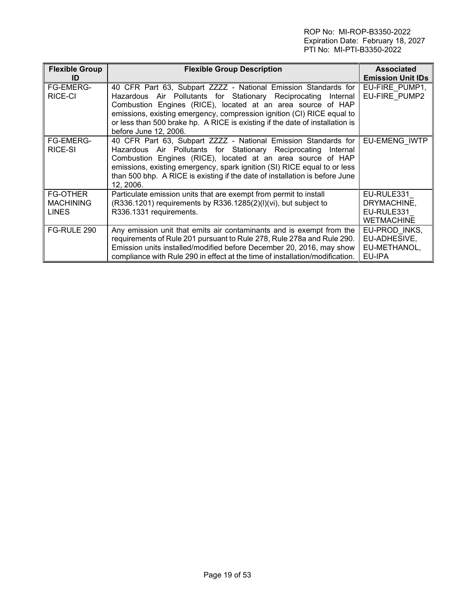| <b>Flexible Group</b><br>ID                         | <b>Flexible Group Description</b>                                                                                                                                                                                                                                                                                                                                       | <b>Associated</b><br><b>Emission Unit IDs</b>                |  |  |
|-----------------------------------------------------|-------------------------------------------------------------------------------------------------------------------------------------------------------------------------------------------------------------------------------------------------------------------------------------------------------------------------------------------------------------------------|--------------------------------------------------------------|--|--|
| <b>FG-EMERG-</b><br>RICE-CI                         | 40 CFR Part 63, Subpart ZZZZ - National Emission Standards for<br>Hazardous Air Pollutants for Stationary Reciprocating Internal<br>Combustion Engines (RICE), located at an area source of HAP                                                                                                                                                                         | EU-FIRE PUMP1,<br>EU-FIRE PUMP2                              |  |  |
|                                                     | emissions, existing emergency, compression ignition (CI) RICE equal to<br>or less than 500 brake hp. A RICE is existing if the date of installation is<br>before June 12, 2006.                                                                                                                                                                                         |                                                              |  |  |
| FG-EMERG-<br>RICE-SI                                | 40 CFR Part 63, Subpart ZZZZ - National Emission Standards for<br>Hazardous Air Pollutants for Stationary Reciprocating Internal<br>Combustion Engines (RICE), located at an area source of HAP<br>emissions, existing emergency, spark ignition (SI) RICE equal to or less<br>than 500 bhp. A RICE is existing if the date of installation is before June<br>12, 2006. |                                                              |  |  |
| <b>FG-OTHER</b><br><b>MACHINING</b><br><b>LINES</b> | Particulate emission units that are exempt from permit to install<br>(R336.1201) requirements by R336.1285(2)(I)(vi), but subject to<br>R336.1331 requirements.                                                                                                                                                                                                         | EU-RULE331<br>DRYMACHINE,<br>EU-RULE331<br><b>WETMACHINE</b> |  |  |
| FG-RULE 290                                         | Any emission unit that emits air contaminants and is exempt from the<br>requirements of Rule 201 pursuant to Rule 278, Rule 278a and Rule 290.<br>Emission units installed/modified before December 20, 2016, may show<br>compliance with Rule 290 in effect at the time of installation/modification.                                                                  | EU-PROD INKS,<br>EU-ADHESIVE,<br>EU-METHANOL,<br>EU-IPA      |  |  |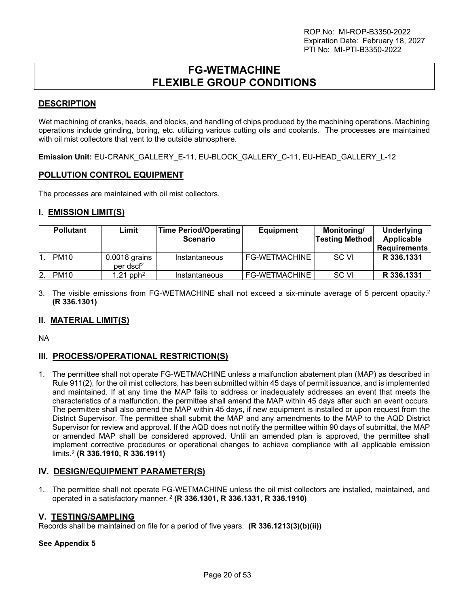## **FG-WETMACHINE FLEXIBLE GROUP CONDITIONS**

## <span id="page-19-0"></span>**DESCRIPTION**

Wet machining of cranks, heads, and blocks, and handling of chips produced by the machining operations. Machining operations include grinding, boring, etc. utilizing various cutting oils and coolants. The processes are maintained with oil mist collectors that vent to the outside atmosphere.

**Emission Unit:** EU-CRANK\_GALLERY\_E-11, EU-BLOCK\_GALLERY\_C-11, EU-HEAD\_GALLERY\_L-12

## **POLLUTION CONTROL EQUIPMENT**

The processes are maintained with oil mist collectors.

## **I. EMISSION LIMIT(S)**

| <b>Pollutant</b> | Limit                                    | Time Period/Operating<br><b>Scenario</b> | <b>Equipment</b> | Monitoring/<br><b>Testing Method</b> | Underlying<br>Applicable<br><b>Requirements</b> |
|------------------|------------------------------------------|------------------------------------------|------------------|--------------------------------------|-------------------------------------------------|
| <b>PM10</b>      | $0.0018$ grains<br>per dscf <sup>2</sup> | Instantaneous                            | FG-WETMACHINE    | SC VI                                | R 336.1331                                      |
| <b>PM10</b>      | $1.21$ pph <sup>2</sup>                  | Instantaneous                            | FG-WETMACHINE    | SC VI                                | R 336.1331                                      |

3. The visible emissions from FG-WETMACHINE shall not exceed a six-minute average of 5 percent opacity.<sup>2</sup> **(R 336.1301)**

## **II. MATERIAL LIMIT(S)**

NA

## **III. PROCESS/OPERATIONAL RESTRICTION(S)**

1. The permittee shall not operate FG-WETMACHINE unless a malfunction abatement plan (MAP) as described in Rule 911(2), for the oil mist collectors, has been submitted within 45 days of permit issuance, and is implemented and maintained. If at any time the MAP fails to address or inadequately addresses an event that meets the characteristics of a malfunction, the permittee shall amend the MAP within 45 days after such an event occurs. The permittee shall also amend the MAP within 45 days, if new equipment is installed or upon request from the District Supervisor. The permittee shall submit the MAP and any amendments to the MAP to the AQD District Supervisor for review and approval. If the AQD does not notify the permittee within 90 days of submittal, the MAP or amended MAP shall be considered approved. Until an amended plan is approved, the permittee shall implement corrective procedures or operational changes to achieve compliance with all applicable emission limits.<sup>2</sup> **(R 336.1910, R 336.1911)**

### **IV. DESIGN/EQUIPMENT PARAMETER(S)**

1. The permittee shall not operate FG-WETMACHINE unless the oil mist collectors are installed, maintained, and operated in a satisfactory manner.<sup>2</sup> **(R 336.1301, R 336.1331, R 336.1910)**

### **V. TESTING/SAMPLING**

Records shall be maintained on file for a period of five years. **(R 336.1213(3)(b)(ii))**

#### **See Appendix 5**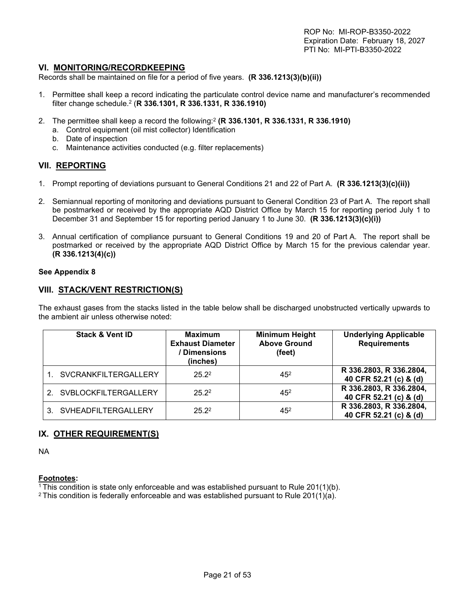#### **VI. MONITORING/RECORDKEEPING**

Records shall be maintained on file for a period of five years. **(R 336.1213(3)(b)(ii))**

- 1. Permittee shall keep a record indicating the particulate control device name and manufacturer's recommended filter change schedule.<sup>2</sup> (**R 336.1301, R 336.1331, R 336.1910)**
- 2. The permittee shall keep a record the following:<sup>2</sup> **(R 336.1301, R 336.1331, R 336.1910)** 
	- a. Control equipment (oil mist collector) Identification
	- b. Date of inspection
	- c. Maintenance activities conducted (e.g. filter replacements)

#### **VII. REPORTING**

- 1. Prompt reporting of deviations pursuant to General Conditions 21 and 22 of Part A. **(R 336.1213(3)(c)(ii))**
- 2. Semiannual reporting of monitoring and deviations pursuant to General Condition 23 of Part A. The report shall be postmarked or received by the appropriate AQD District Office by March 15 for reporting period July 1 to December 31 and September 15 for reporting period January 1 to June 30. **(R 336.1213(3)(c)(i))**
- 3. Annual certification of compliance pursuant to General Conditions 19 and 20 of Part A. The report shall be postmarked or received by the appropriate AQD District Office by March 15 for the previous calendar year. **(R 336.1213(4)(c))**

#### **See Appendix 8**

### **VIII. STACK/VENT RESTRICTION(S)**

The exhaust gases from the stacks listed in the table below shall be discharged unobstructed vertically upwards to the ambient air unless otherwise noted:

| <b>Stack &amp; Vent ID</b>  | <b>Maximum</b><br><b>Exhaust Diameter</b><br>Dimensions<br>(inches) | <b>Minimum Height</b><br><b>Above Ground</b><br>(feet) | <b>Underlying Applicable</b><br><b>Requirements</b> |
|-----------------------------|---------------------------------------------------------------------|--------------------------------------------------------|-----------------------------------------------------|
| <b>SVCRANKFILTERGALLERY</b> | $25.2^2$                                                            | $45^{2}$                                               | R 336.2803, R 336.2804,<br>40 CFR 52.21 (c) & (d)   |
| SVBLOCKFILTERGALLERY        | $25.2^2$                                                            | $45^{2}$                                               | R 336.2803, R 336.2804,<br>40 CFR 52.21 (c) & (d)   |
| SVHEADFILTERGALLERY         | $25.2^2$                                                            | 45 <sup>2</sup>                                        | R 336.2803, R 336.2804,<br>40 CFR 52.21 (c) & (d)   |

### **IX. OTHER REQUIREMENT(S)**

NA

#### **Footnotes:**

<sup>1</sup>This condition is state only enforceable and was established pursuant to Rule 201(1)(b).

<sup>2</sup> This condition is federally enforceable and was established pursuant to Rule 201(1)(a).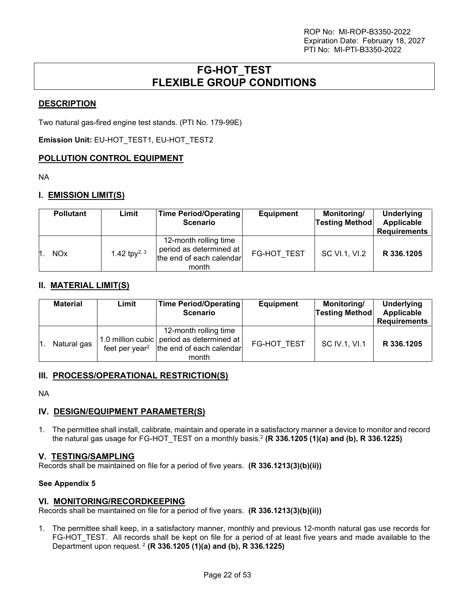## **FG-HOT\_TEST FLEXIBLE GROUP CONDITIONS**

## <span id="page-21-0"></span>**DESCRIPTION**

Two natural gas-fired engine test stands. (PTI No. 179-99E)

**Emission Unit:** EU-HOT\_TEST1, EU-HOT\_TEST2

## **POLLUTION CONTROL EQUIPMENT**

NA

## **I. EMISSION LIMIT(S)**

| <b>Pollutant</b>      | Limit              | <b>Time Period/Operating</b><br><b>Scenario</b>                                         | <b>Equipment</b>   | Monitoring/<br><b>Testing Method</b> | <b>Underlying</b><br>Applicable<br><b>Requirements</b> |
|-----------------------|--------------------|-----------------------------------------------------------------------------------------|--------------------|--------------------------------------|--------------------------------------------------------|
| <b>NO<sub>x</sub></b> | 1.42 tp $V^{2, 3}$ | 12-month rolling time<br>period as determined at  <br>the end of each calendar<br>month | <b>FG-HOT TEST</b> | SC VI.1, VI.2                        | R 336.1205                                             |

## **II. MATERIAL LIMIT(S)**

| <b>Material</b> | Limit | Time Period/Operating<br><b>Scenario</b>                                                                                           | <b>Equipment</b> | Monitoring/<br><b>Testing Method</b> | <b>Underlying</b><br>Applicable<br><b>Requirements</b> |
|-----------------|-------|------------------------------------------------------------------------------------------------------------------------------------|------------------|--------------------------------------|--------------------------------------------------------|
| Natural gas     |       | 12-month rolling time<br>1.0 million cubic period as determined at<br>feet per year <sup>2</sup> the end of each calendar<br>month | FG-HOT TEST      | SC IV.1, VI.1                        | R 336.1205                                             |

### **III. PROCESS/OPERATIONAL RESTRICTION(S)**

NA

## **IV. DESIGN/EQUIPMENT PARAMETER(S)**

1. The permittee shall install, calibrate, maintain and operate in a satisfactory manner a device to monitor and record the natural gas usage for FG-HOT\_TEST on a monthly basis.<sup>2</sup> **(R 336.1205 (1)(a) and (b), R 336.1225)**

### **V. TESTING/SAMPLING**

Records shall be maintained on file for a period of five years. **(R 336.1213(3)(b)(ii))**

### **See Appendix 5**

### **VI. MONITORING/RECORDKEEPING**

Records shall be maintained on file for a period of five years. **(R 336.1213(3)(b)(ii))**

1. The permittee shall keep, in a satisfactory manner, monthly and previous 12-month natural gas use records for FG-HOT TEST. All records shall be kept on file for a period of at least five years and made available to the Department upon request.<sup>2</sup> **(R 336.1205 (1)(a) and (b), R 336.1225)**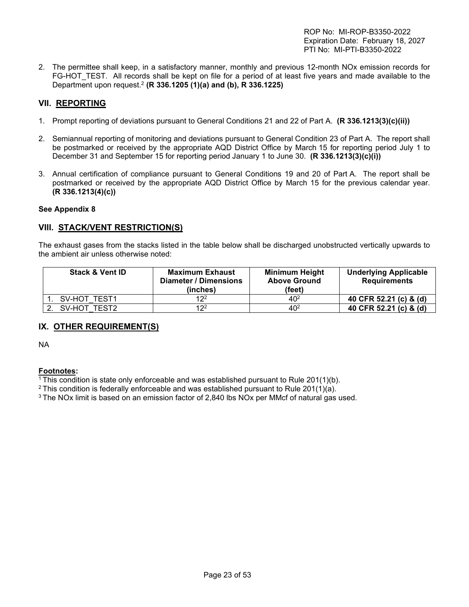2. The permittee shall keep, in a satisfactory manner, monthly and previous 12-month NOx emission records for FG-HOT TEST. All records shall be kept on file for a period of at least five years and made available to the Department upon request.<sup>2</sup> **(R 336.1205 (1)(a) and (b), R 336.1225)** 

## **VII. REPORTING**

- 1. Prompt reporting of deviations pursuant to General Conditions 21 and 22 of Part A. **(R 336.1213(3)(c)(ii))**
- 2. Semiannual reporting of monitoring and deviations pursuant to General Condition 23 of Part A. The report shall be postmarked or received by the appropriate AQD District Office by March 15 for reporting period July 1 to December 31 and September 15 for reporting period January 1 to June 30. **(R 336.1213(3)(c)(i))**
- 3. Annual certification of compliance pursuant to General Conditions 19 and 20 of Part A. The report shall be postmarked or received by the appropriate AQD District Office by March 15 for the previous calendar year. **(R 336.1213(4)(c))**

#### **See Appendix 8**

## **VIII. STACK/VENT RESTRICTION(S)**

The exhaust gases from the stacks listed in the table below shall be discharged unobstructed vertically upwards to the ambient air unless otherwise noted:

| <b>Stack &amp; Vent ID</b> | <b>Maximum Exhaust</b><br>Diameter / Dimensions<br>(inches) | <b>Minimum Height</b><br><b>Above Ground</b><br>(feet) | <b>Underlying Applicable</b><br><b>Requirements</b> |
|----------------------------|-------------------------------------------------------------|--------------------------------------------------------|-----------------------------------------------------|
| SV-HOT TEST1               | 12 <sup>2</sup>                                             | $40^{2}$                                               | 40 CFR 52.21 (c) & (d)                              |
| SV-HOT TEST2               | 12 <sup>2</sup>                                             | 40 <sup>2</sup>                                        | 40 CFR 52.21 (c) & (d)                              |

## **IX. OTHER REQUIREMENT(S)**

NA

### **Footnotes:**

 $1$ <sup>1</sup>This condition is state only enforceable and was established pursuant to Rule 201(1)(b).

 $2$  This condition is federally enforceable and was established pursuant to Rule 201(1)(a).

<sup>3</sup> The NOx limit is based on an emission factor of 2,840 lbs NOx per MMcf of natural gas used.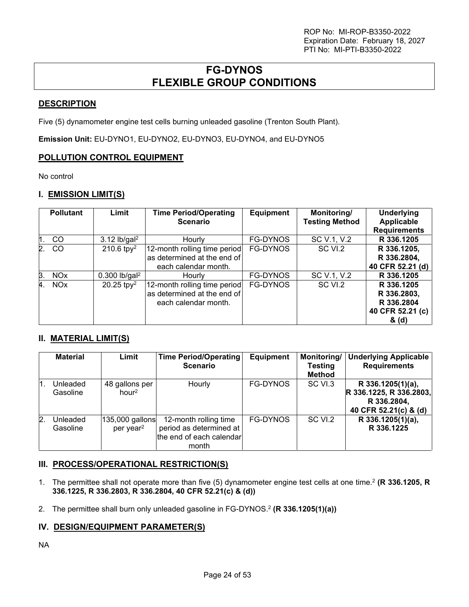## **FG-DYNOS FLEXIBLE GROUP CONDITIONS**

## <span id="page-23-0"></span>**DESCRIPTION**

Five (5) dynamometer engine test cells burning unleaded gasoline (Trenton South Plant).

**Emission Unit:** EU-DYNO1, EU-DYNO2, EU-DYNO3, EU-DYNO4, and EU-DYNO5

## **POLLUTION CONTROL EQUIPMENT**

No control

## **I. EMISSION LIMIT(S)**

|    | <b>Pollutant</b>      | Limit                       | <b>Time Period/Operating</b><br><b>Scenario</b>                                     | <b>Equipment</b> | Monitoring/<br><b>Testing Method</b> | <b>Underlying</b><br>Applicable<br><b>Requirements</b>               |
|----|-----------------------|-----------------------------|-------------------------------------------------------------------------------------|------------------|--------------------------------------|----------------------------------------------------------------------|
|    | CO                    | $3.12$ lb/gal <sup>2</sup>  | Hourly                                                                              | FG-DYNOS         | SC V.1, V.2                          | R 336.1205                                                           |
| 2. | CO                    | 210.6 tpy <sup>2</sup>      | 12-month rolling time period<br>as determined at the end of<br>each calendar month. | <b>FG-DYNOS</b>  | SC VI.2                              | R 336.1205,<br>R 336.2804,<br>40 CFR 52.21 (d)                       |
| B. | <b>NO<sub>x</sub></b> | $0.300$ lb/gal <sup>2</sup> | Hourly                                                                              | <b>FG-DYNOS</b>  | SC V.1, V.2                          | R 336.1205                                                           |
| 4. | <b>NO<sub>x</sub></b> | 20.25 tp $v^2$              | 12-month rolling time period<br>as determined at the end of<br>each calendar month. | <b>FG-DYNOS</b>  | SC VI.2                              | R 336.1205<br>R 336.2803,<br>R 336.2804<br>40 CFR 52.21 (c)<br>& (d) |

## **II. MATERIAL LIMIT(S)**

|    | <b>Material</b>      | Limit                                    | <b>Time Period/Operating</b><br><b>Scenario</b>                                       | <b>Equipment</b> | Monitoring/<br><b>Testing</b><br><b>Method</b> | <b>Underlying Applicable</b><br><b>Requirements</b>                                  |
|----|----------------------|------------------------------------------|---------------------------------------------------------------------------------------|------------------|------------------------------------------------|--------------------------------------------------------------------------------------|
| И. | Unleaded<br>Gasoline | 48 gallons per<br>hour <sup>2</sup>      | Hourly                                                                                | <b>FG-DYNOS</b>  | SC VI.3                                        | R 336.1205(1)(a),<br>R 336.1225, R 336.2803,<br>R 336.2804,<br>40 CFR 52.21(c) & (d) |
| 2. | Unleaded<br>Gasoline | 135,000 gallons<br>per year <sup>2</sup> | 12-month rolling time<br>period as determined at<br>the end of each calendar<br>month | <b>FG-DYNOS</b>  | SC VI.2                                        | R 336.1205(1)(a),<br>R 336.1225                                                      |

## **III. PROCESS/OPERATIONAL RESTRICTION(S)**

- 1. The permittee shall not operate more than five (5) dynamometer engine test cells at one time.<sup>2</sup> **(R 336.1205, R 336.1225, R 336.2803, R 336.2804, 40 CFR 52.21(c) & (d))**
- 2. The permittee shall burn only unleaded gasoline in FG-DYNOS.<sup>2</sup> (**R 336.1205(1)(a))**

## **IV. DESIGN/EQUIPMENT PARAMETER(S)**

NA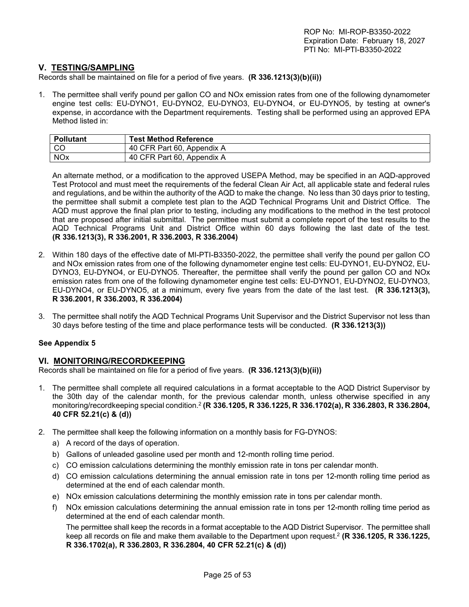### **V. TESTING/SAMPLING**

Records shall be maintained on file for a period of five years. **(R 336.1213(3)(b)(ii))**

1. The permittee shall verify pound per gallon CO and NOx emission rates from one of the following dynamometer engine test cells: EU-DYNO1, EU-DYNO2, EU-DYNO3, EU-DYNO4, or EU-DYNO5, by testing at owner's expense, in accordance with the Department requirements. Testing shall be performed using an approved EPA Method listed in:

| Pollutant  | <b>Test Method Reference</b> |
|------------|------------------------------|
| l CC       | 40 CFR Part 60, Appendix A   |
| <b>NOx</b> | 40 CFR Part 60, Appendix A   |

An alternate method, or a modification to the approved USEPA Method, may be specified in an AQD-approved Test Protocol and must meet the requirements of the federal Clean Air Act, all applicable state and federal rules and regulations, and be within the authority of the AQD to make the change. No less than 30 days prior to testing, the permittee shall submit a complete test plan to the AQD Technical Programs Unit and District Office. The AQD must approve the final plan prior to testing, including any modifications to the method in the test protocol that are proposed after initial submittal. The permittee must submit a complete report of the test results to the AQD Technical Programs Unit and District Office within 60 days following the last date of the test. **(R 336.1213(3), R 336.2001, R 336.2003, R 336.2004)** 

- 2. Within 180 days of the effective date of MI-PTI-B3350-2022, the permittee shall verify the pound per gallon CO and NOx emission rates from one of the following dynamometer engine test cells: EU-DYNO1, EU-DYNO2, EU-DYNO3, EU-DYNO4, or EU-DYNO5. Thereafter, the permittee shall verify the pound per gallon CO and NOx emission rates from one of the following dynamometer engine test cells: EU-DYNO1, EU-DYNO2, EU-DYNO3, EU-DYNO4, or EU-DYNO5, at a minimum, every five years from the date of the last test. **(R 336.1213(3), R 336.2001, R 336.2003, R 336.2004)**
- 3. The permittee shall notify the AQD Technical Programs Unit Supervisor and the District Supervisor not less than 30 days before testing of the time and place performance tests will be conducted. **(R 336.1213(3))**

#### **See Appendix 5**

### **VI. MONITORING/RECORDKEEPING**

Records shall be maintained on file for a period of five years. **(R 336.1213(3)(b)(ii))**

- 1. The permittee shall complete all required calculations in a format acceptable to the AQD District Supervisor by the 30th day of the calendar month, for the previous calendar month, unless otherwise specified in any monitoring/recordkeeping special condition.<sup>2</sup> **(R 336.1205, R 336.1225, R 336.1702(a), R 336.2803, R 336.2804, 40 CFR 52.21(c) & (d))**
- 2. The permittee shall keep the following information on a monthly basis for FG-DYNOS:
	- a) A record of the days of operation.
	- b) Gallons of unleaded gasoline used per month and 12-month rolling time period.
	- c) CO emission calculations determining the monthly emission rate in tons per calendar month.
	- d) CO emission calculations determining the annual emission rate in tons per 12-month rolling time period as determined at the end of each calendar month.
	- e) NOx emission calculations determining the monthly emission rate in tons per calendar month.
	- f) NOx emission calculations determining the annual emission rate in tons per 12-month rolling time period as determined at the end of each calendar month.

The permittee shall keep the records in a format acceptable to the AQD District Supervisor. The permittee shall keep all records on file and make them available to the Department upon request.<sup>2</sup> **(R 336.1205, R 336.1225, R 336.1702(a), R 336.2803, R 336.2804, 40 CFR 52.21(c) & (d))**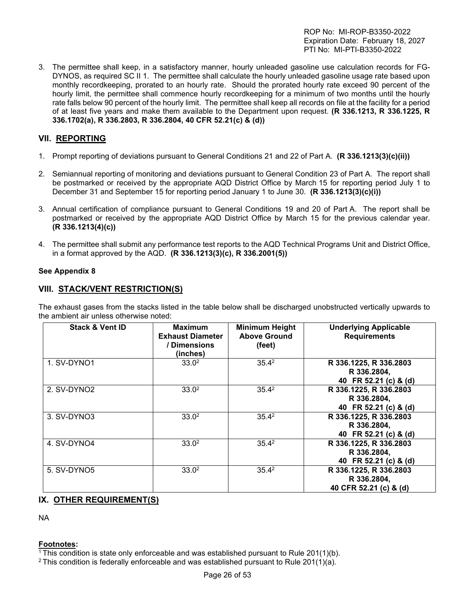3. The permittee shall keep, in a satisfactory manner, hourly unleaded gasoline use calculation records for FG-DYNOS, as required SC II 1. The permittee shall calculate the hourly unleaded gasoline usage rate based upon monthly recordkeeping, prorated to an hourly rate. Should the prorated hourly rate exceed 90 percent of the hourly limit, the permittee shall commence hourly recordkeeping for a minimum of two months until the hourly rate falls below 90 percent of the hourly limit. The permittee shall keep all records on file at the facility for a period of at least five years and make them available to the Department upon request. **(R 336.1213, R 336.1225, R 336.1702(a), R 336.2803, R 336.2804, 40 CFR 52.21(c) & (d))** 

## **VII. REPORTING**

- 1. Prompt reporting of deviations pursuant to General Conditions 21 and 22 of Part A. **(R 336.1213(3)(c)(ii))**
- 2. Semiannual reporting of monitoring and deviations pursuant to General Condition 23 of Part A. The report shall be postmarked or received by the appropriate AQD District Office by March 15 for reporting period July 1 to December 31 and September 15 for reporting period January 1 to June 30. **(R 336.1213(3)(c)(i))**
- 3. Annual certification of compliance pursuant to General Conditions 19 and 20 of Part A. The report shall be postmarked or received by the appropriate AQD District Office by March 15 for the previous calendar year. **(R 336.1213(4)(c))**
- 4. The permittee shall submit any performance test reports to the AQD Technical Programs Unit and District Office, in a format approved by the AQD. **(R 336.1213(3)(c), R 336.2001(5))**

### **See Appendix 8**

## **VIII. STACK/VENT RESTRICTION(S)**

The exhaust gases from the stacks listed in the table below shall be discharged unobstructed vertically upwards to the ambient air unless otherwise noted:

| <b>Stack &amp; Vent ID</b> | <b>Maximum</b><br><b>Exhaust Diameter</b><br>/ Dimensions<br>(inches) | <b>Minimum Height</b><br><b>Above Ground</b><br>(feet) | <b>Underlying Applicable</b><br><b>Requirements</b>             |
|----------------------------|-----------------------------------------------------------------------|--------------------------------------------------------|-----------------------------------------------------------------|
| 1. SV-DYNO1                | 33.0 <sup>2</sup>                                                     | $35.4^2$                                               | R 336.1225, R 336.2803<br>R 336.2804,<br>40 FR 52.21 (c) & (d)  |
| 2. SV-DYNO2                | 33.0 <sup>2</sup>                                                     | $35.4^2$                                               | R 336.1225, R 336.2803<br>R 336.2804,<br>40 FR 52.21 (c) & (d)  |
| 3. SV-DYNO3                | 33.0 <sup>2</sup>                                                     | $35.4^2$                                               | R 336.1225, R 336.2803<br>R 336.2804,<br>40 FR 52.21 (c) & (d)  |
| 4. SV-DYNO4                | 33.0 <sup>2</sup>                                                     | $35.4^2$                                               | R 336.1225, R 336.2803<br>R 336.2804,<br>40 FR 52.21 (c) & (d)  |
| 5. SV-DYNO5                | 33.0 <sup>2</sup>                                                     | $35.4^2$                                               | R 336.1225, R 336.2803<br>R 336.2804,<br>40 CFR 52.21 (c) & (d) |

### **IX. OTHER REQUIREMENT(S)**

NA

#### **Footnotes:**

<sup>1</sup>This condition is state only enforceable and was established pursuant to Rule 201(1)(b).

<sup>2</sup> This condition is federally enforceable and was established pursuant to Rule 201(1)(a).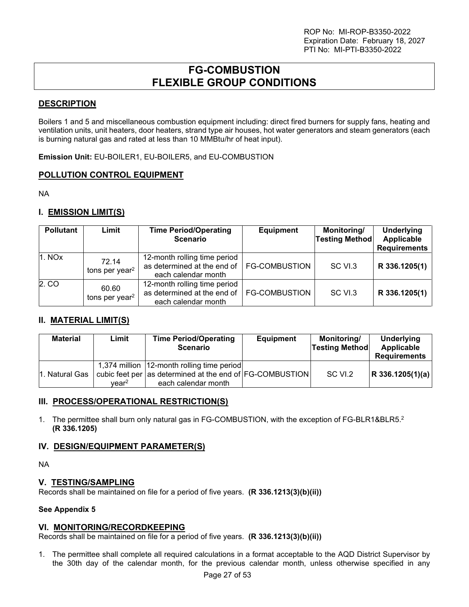## **FG-COMBUSTION FLEXIBLE GROUP CONDITIONS**

## <span id="page-26-0"></span>**DESCRIPTION**

Boilers 1 and 5 and miscellaneous combustion equipment including: direct fired burners for supply fans, heating and ventilation units, unit heaters, door heaters, strand type air houses, hot water generators and steam generators (each is burning natural gas and rated at less than 10 MMBtu/hr of heat input).

**Emission Unit:** EU-BOILER1, EU-BOILER5, and EU-COMBUSTION

## **POLLUTION CONTROL EQUIPMENT**

NA

## **I. EMISSION LIMIT(S)**

| <b>Pollutant</b> | Limit                               | <b>Time Period/Operating</b><br><b>Scenario</b>                                    | <b>Equipment</b>     | Monitoring/<br><b>Testing Method</b> | <b>Underlying</b><br>Applicable<br><b>Requirements</b> |
|------------------|-------------------------------------|------------------------------------------------------------------------------------|----------------------|--------------------------------------|--------------------------------------------------------|
| 1. NOX           | 72.14<br>tons per year <sup>2</sup> | 12-month rolling time period<br>as determined at the end of<br>each calendar month | <b>FG-COMBUSTION</b> | SC VI.3                              | R 336.1205(1)                                          |
| 2. CO            | 60.60<br>tons per year <sup>2</sup> | 12-month rolling time period<br>as determined at the end of<br>each calendar month | <b>FG-COMBUSTION</b> | SC VI.3                              | R 336.1205(1)                                          |

## **II. MATERIAL LIMIT(S)**

| <b>Material</b> | Limit             | <b>Time Period/Operating</b><br><b>Scenario</b>                                                                                 | <b>Equipment</b> | Monitoring/<br><b>Testing Method</b> | Underlying<br>Applicable<br><b>Requirements</b> |
|-----------------|-------------------|---------------------------------------------------------------------------------------------------------------------------------|------------------|--------------------------------------|-------------------------------------------------|
| 1. Natural Gas  | vear <sup>2</sup> | 1,374 million   12-month rolling time period<br>cubic feet per as determined at the end of FG-COMBUSTION<br>each calendar month |                  | SC VI.2                              | R 336.1205(1)(a)                                |

### **III. PROCESS/OPERATIONAL RESTRICTION(S)**

1. The permittee shall burn only natural gas in FG-COMBUSTION, with the exception of FG-BLR1&BLR5.<sup>2</sup> **(R 336.1205)**

## **IV. DESIGN/EQUIPMENT PARAMETER(S)**

NA

### **V. TESTING/SAMPLING**

Records shall be maintained on file for a period of five years. **(R 336.1213(3)(b)(ii))**

#### **See Appendix 5**

### **VI. MONITORING/RECORDKEEPING**

Records shall be maintained on file for a period of five years. **(R 336.1213(3)(b)(ii))**

1. The permittee shall complete all required calculations in a format acceptable to the AQD District Supervisor by the 30th day of the calendar month, for the previous calendar month, unless otherwise specified in any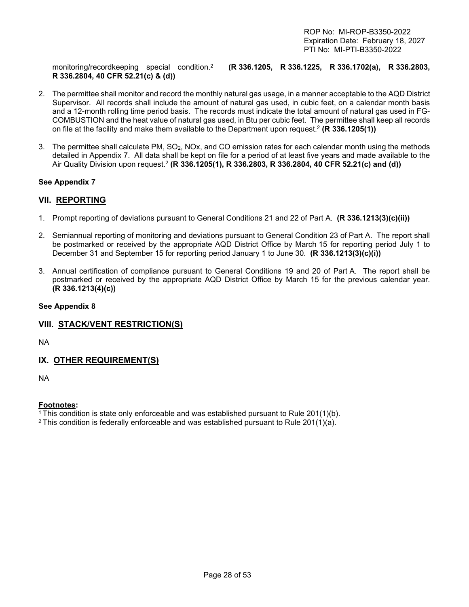monitoring/recordkeeping special condition.<sup>2</sup> **R 336.2804, 40 CFR 52.21(c) & (d))** 

**(R 336.1205, R 336.1225, R 336.1702(a), R 336.2803,** 

- 2. The permittee shall monitor and record the monthly natural gas usage, in a manner acceptable to the AQD District Supervisor. All records shall include the amount of natural gas used, in cubic feet, on a calendar month basis and a 12-month rolling time period basis. The records must indicate the total amount of natural gas used in FG-COMBUSTION and the heat value of natural gas used, in Btu per cubic feet. The permittee shall keep all records on file at the facility and make them available to the Department upon request.<sup>2</sup>  **(R 336.1205(1))**
- 3. The permittee shall calculate PM, SO2, NOx, and CO emission rates for each calendar month using the methods detailed in Appendix 7. All data shall be kept on file for a period of at least five years and made available to the Air Quality Division upon request.<sup>2</sup> **(R 336.1205(1), R 336.2803, R 336.2804, 40 CFR 52.21(c) and (d))**

### **See Appendix 7**

### **VII. REPORTING**

- 1. Prompt reporting of deviations pursuant to General Conditions 21 and 22 of Part A. **(R 336.1213(3)(c)(ii))**
- 2. Semiannual reporting of monitoring and deviations pursuant to General Condition 23 of Part A. The report shall be postmarked or received by the appropriate AQD District Office by March 15 for reporting period July 1 to December 31 and September 15 for reporting period January 1 to June 30. **(R 336.1213(3)(c)(i))**
- 3. Annual certification of compliance pursuant to General Conditions 19 and 20 of Part A. The report shall be postmarked or received by the appropriate AQD District Office by March 15 for the previous calendar year. **(R 336.1213(4)(c))**

#### **See Appendix 8**

### **VIII. STACK/VENT RESTRICTION(S)**

NA

## **IX. OTHER REQUIREMENT(S)**

NA

### **Footnotes:**

<sup>1</sup>This condition is state only enforceable and was established pursuant to Rule 201(1)(b).

<sup>2</sup> This condition is federally enforceable and was established pursuant to Rule 201(1)(a).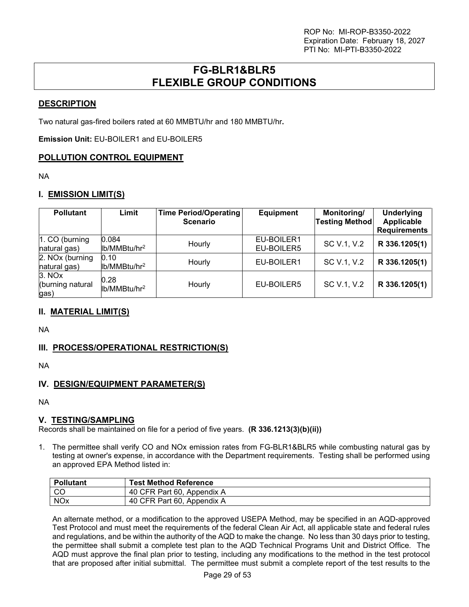## **FG-BLR1&BLR5 FLEXIBLE GROUP CONDITIONS**

## <span id="page-28-0"></span>**DESCRIPTION**

Two natural gas-fired boilers rated at 60 MMBTU/hr and 180 MMBTU/hr**.** 

**Emission Unit:** EU-BOILER1 and EU-BOILER5

## **POLLUTION CONTROL EQUIPMENT**

NA

## **I. EMISSION LIMIT(S)**

| <b>Pollutant</b>                   | Limit                             | Time Period/Operating<br><b>Scenario</b> | <b>Equipment</b>         | Monitoring/<br><b>Testing Method</b> | <b>Underlying</b><br>Applicable<br><b>Requirements</b> |
|------------------------------------|-----------------------------------|------------------------------------------|--------------------------|--------------------------------------|--------------------------------------------------------|
| 1. CO (burning<br>natural gas)     | 0.084<br>lb/MMBtu/hr <sup>2</sup> | Hourly                                   | EU-BOILER1<br>EU-BOILER5 | SC V.1, V.2                          | R 336.1205(1)                                          |
| 2. NOx (burning<br>natural gas)    | 0.10<br>lb/MMBtu/hr <sup>2</sup>  | Hourly                                   | EU-BOILER1               | SC V.1, V.2                          | R 336.1205(1)                                          |
| 3. NOX<br>(burning natural<br>gas) | 0.28<br>lb/MMBtu/hr <sup>2</sup>  | Hourly                                   | EU-BOILER5               | SC V.1, V.2                          | R 336.1205(1)                                          |

## **II. MATERIAL LIMIT(S)**

NA

## **III. PROCESS/OPERATIONAL RESTRICTION(S)**

NA

## **IV. DESIGN/EQUIPMENT PARAMETER(S)**

NA

### **V. TESTING/SAMPLING**

Records shall be maintained on file for a period of five years. **(R 336.1213(3)(b)(ii))**

1. The permittee shall verify CO and NOx emission rates from FG-BLR1&BLR5 while combusting natural gas by testing at owner's expense, in accordance with the Department requirements. Testing shall be performed using an approved EPA Method listed in:

| <b>Pollutant</b> | <b>Test Method Reference</b> |
|------------------|------------------------------|
| - CO             | 40 CFR Part 60, Appendix A   |
| NO <sub>x</sub>  | 40 CFR Part 60, Appendix A   |

An alternate method, or a modification to the approved USEPA Method, may be specified in an AQD-approved Test Protocol and must meet the requirements of the federal Clean Air Act, all applicable state and federal rules and regulations, and be within the authority of the AQD to make the change. No less than 30 days prior to testing, the permittee shall submit a complete test plan to the AQD Technical Programs Unit and District Office. The AQD must approve the final plan prior to testing, including any modifications to the method in the test protocol that are proposed after initial submittal. The permittee must submit a complete report of the test results to the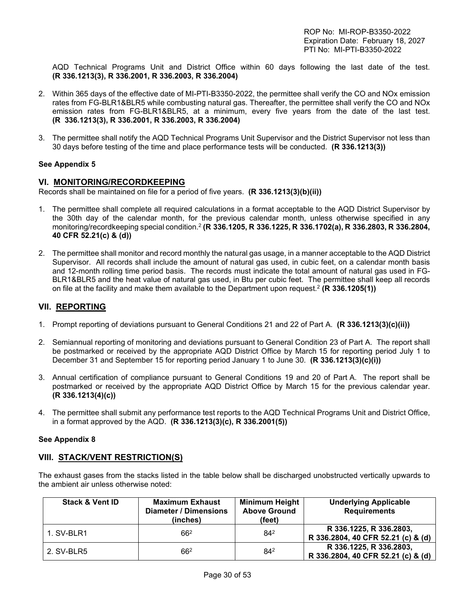AQD Technical Programs Unit and District Office within 60 days following the last date of the test. **(R 336.1213(3), R 336.2001, R 336.2003, R 336.2004)** 

- 2. Within 365 days of the effective date of MI-PTI-B3350-2022, the permittee shall verify the CO and NOx emission rates from FG-BLR1&BLR5 while combusting natural gas. Thereafter, the permittee shall verify the CO and NOx emission rates from FG-BLR1&BLR5, at a minimum, every five years from the date of the last test. **(R 336.1213(3), R 336.2001, R 336.2003, R 336.2004)**
- 3. The permittee shall notify the AQD Technical Programs Unit Supervisor and the District Supervisor not less than 30 days before testing of the time and place performance tests will be conducted. **(R 336.1213(3))**

#### **See Appendix 5**

#### **VI. MONITORING/RECORDKEEPING**

Records shall be maintained on file for a period of five years. **(R 336.1213(3)(b)(ii))**

- 1. The permittee shall complete all required calculations in a format acceptable to the AQD District Supervisor by the 30th day of the calendar month, for the previous calendar month, unless otherwise specified in any monitoring/recordkeeping special condition.<sup>2</sup> **(R 336.1205, R 336.1225, R 336.1702(a), R 336.2803, R 336.2804, 40 CFR 52.21(c) & (d))**
- 2. The permittee shall monitor and record monthly the natural gas usage, in a manner acceptable to the AQD District Supervisor. All records shall include the amount of natural gas used, in cubic feet, on a calendar month basis and 12-month rolling time period basis. The records must indicate the total amount of natural gas used in FG-BLR1&BLR5 and the heat value of natural gas used, in Btu per cubic feet. The permittee shall keep all records on file at the facility and make them available to the Department upon request.<sup>2</sup>  **(R 336.1205(1))**

## **VII. REPORTING**

- 1. Prompt reporting of deviations pursuant to General Conditions 21 and 22 of Part A. **(R 336.1213(3)(c)(ii))**
- 2. Semiannual reporting of monitoring and deviations pursuant to General Condition 23 of Part A. The report shall be postmarked or received by the appropriate AQD District Office by March 15 for reporting period July 1 to December 31 and September 15 for reporting period January 1 to June 30. **(R 336.1213(3)(c)(i))**
- 3. Annual certification of compliance pursuant to General Conditions 19 and 20 of Part A. The report shall be postmarked or received by the appropriate AQD District Office by March 15 for the previous calendar year. **(R 336.1213(4)(c))**
- 4. The permittee shall submit any performance test reports to the AQD Technical Programs Unit and District Office, in a format approved by the AQD. **(R 336.1213(3)(c), R 336.2001(5))**

#### **See Appendix 8**

### **VIII. STACK/VENT RESTRICTION(S)**

The exhaust gases from the stacks listed in the table below shall be discharged unobstructed vertically upwards to the ambient air unless otherwise noted:

| <b>Stack &amp; Vent ID</b> | <b>Maximum Exhaust</b><br>Diameter / Dimensions<br>(inches) | <b>Minimum Height</b><br><b>Above Ground</b><br>(feet) | <b>Underlying Applicable</b><br><b>Requirements</b>           |
|----------------------------|-------------------------------------------------------------|--------------------------------------------------------|---------------------------------------------------------------|
| 1. SV-BLR1                 | $66^{2}$                                                    | 842                                                    | R 336.1225, R 336.2803,<br>R 336.2804, 40 CFR 52.21 (c) & (d) |
| 2. SV-BLR5                 | $66^{2}$                                                    | 842                                                    | R 336.1225, R 336.2803,<br>R 336.2804, 40 CFR 52.21 (c) & (d) |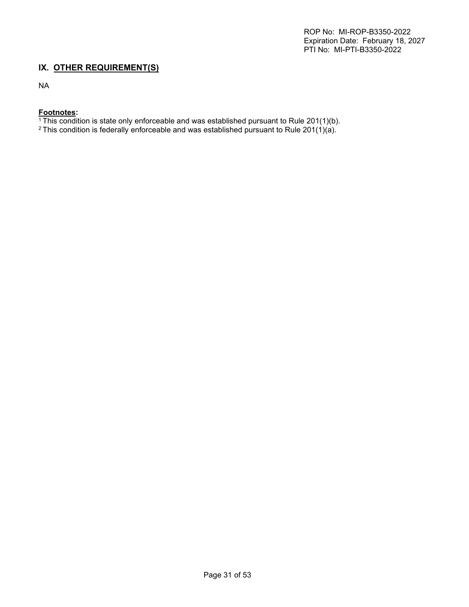### **IX. OTHER REQUIREMENT(S)**

NA

## **Footnotes:**

<sup>1</sup>This condition is state only enforceable and was established pursuant to Rule 201(1)(b).

 $^2$ This condition is federally enforceable and was established pursuant to Rule 201(1)(a).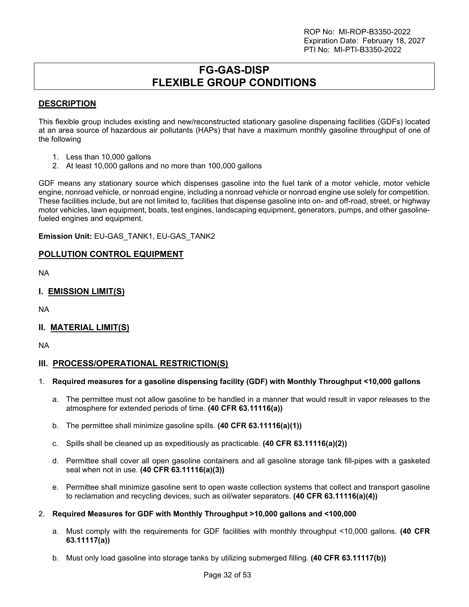## **FG-GAS-DISP FLEXIBLE GROUP CONDITIONS**

## <span id="page-31-0"></span>**DESCRIPTION**

This flexible group includes existing and new/reconstructed stationary gasoline dispensing facilities (GDFs) located at an area source of hazardous air pollutants (HAPs) that have a maximum monthly gasoline throughput of one of the following

- 1. Less than 10,000 gallons
- 2. At least 10,000 gallons and no more than 100,000 gallons

GDF means any stationary source which dispenses gasoline into the fuel tank of a motor vehicle, motor vehicle engine, nonroad vehicle, or nonroad engine, including a nonroad vehicle or nonroad engine use solely for competition. These facilities include, but are not limited to, facilities that dispense gasoline into on- and off-road, street, or highway motor vehicles, lawn equipment, boats, test engines, landscaping equipment, generators, pumps, and other gasolinefueled engines and equipment.

**Emission Unit:** EU-GAS\_TANK1, EU-GAS\_TANK2

## **POLLUTION CONTROL EQUIPMENT**

NA

## **I. EMISSION LIMIT(S)**

NA

### **II. MATERIAL LIMIT(S)**

NA

### **III. PROCESS/OPERATIONAL RESTRICTION(S)**

### 1. **Required measures for a gasoline dispensing facility (GDF) with Monthly Throughput <10,000 gallons**

- a. The permittee must not allow gasoline to be handled in a manner that would result in vapor releases to the atmosphere for extended periods of time. **(40 CFR 63.11116(a))**
- b. The permittee shall minimize gasoline spills. **(40 CFR 63.11116(a)(1))**
- c. Spills shall be cleaned up as expeditiously as practicable. **(40 CFR 63.11116(a)(2))**
- d. Permittee shall cover all open gasoline containers and all gasoline storage tank fill-pipes with a gasketed seal when not in use. **(40 CFR 63.11116(a)(3))**
- e. Permittee shall minimize gasoline sent to open waste collection systems that collect and transport gasoline to reclamation and recycling devices, such as oil/water separators. **(40 CFR 63.11116(a)(4))**

### 2. **Required Measures for GDF with Monthly Throughput >10,000 gallons and <100,000**

- a. Must comply with the requirements for GDF facilities with monthly throughput <10,000 gallons. **(40 CFR 63.11117(a))**
- b. Must only load gasoline into storage tanks by utilizing submerged filling. **(40 CFR 63.11117(b))**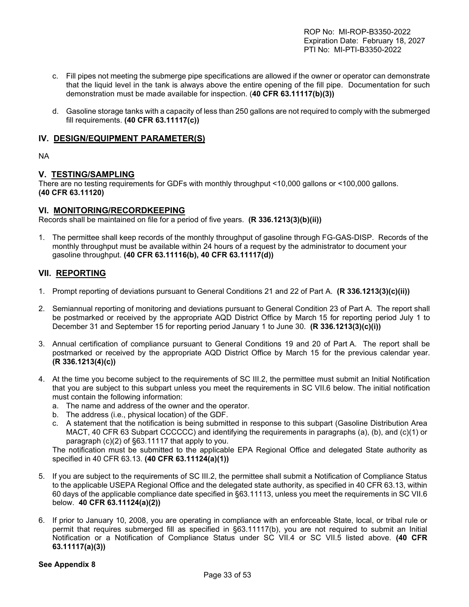- c. Fill pipes not meeting the submerge pipe specifications are allowed if the owner or operator can demonstrate that the liquid level in the tank is always above the entire opening of the fill pipe. Documentation for such demonstration must be made available for inspection. (**40 CFR 63.11117(b)(3))**
- d. Gasoline storage tanks with a capacity of less than 250 gallons are not required to comply with the submerged fill requirements. **(40 CFR 63.11117(c))**

## **IV. DESIGN/EQUIPMENT PARAMETER(S)**

NA

## **V. TESTING/SAMPLING**

There are no testing requirements for GDFs with monthly throughput <10,000 gallons or <100,000 gallons. **(40 CFR 63.11120)** 

### **VI. MONITORING/RECORDKEEPING**

Records shall be maintained on file for a period of five years. **(R 336.1213(3)(b)(ii))**

1. The permittee shall keep records of the monthly throughput of gasoline through FG-GAS-DISP. Records of the monthly throughput must be available within 24 hours of a request by the administrator to document your gasoline throughput. **(40 CFR 63.11116(b), 40 CFR 63.11117(d))**

## **VII. REPORTING**

- 1. Prompt reporting of deviations pursuant to General Conditions 21 and 22 of Part A. **(R 336.1213(3)(c)(ii))**
- 2. Semiannual reporting of monitoring and deviations pursuant to General Condition 23 of Part A. The report shall be postmarked or received by the appropriate AQD District Office by March 15 for reporting period July 1 to December 31 and September 15 for reporting period January 1 to June 30. **(R 336.1213(3)(c)(i))**
- 3. Annual certification of compliance pursuant to General Conditions 19 and 20 of Part A. The report shall be postmarked or received by the appropriate AQD District Office by March 15 for the previous calendar year. **(R 336.1213(4)(c))**
- 4. At the time you become subject to the requirements of SC III.2, the permittee must submit an Initial Notification that you are subject to this subpart unless you meet the requirements in SC VII.6 below. The initial notification must contain the following information:
	- a. The name and address of the owner and the operator.
	- b. The address (i.e., physical location) of the GDF.
	- c. A statement that the notification is being submitted in response to this subpart (Gasoline Distribution Area MACT, 40 CFR 63 Subpart CCCCCC) and identifying the requirements in paragraphs (a), (b), and (c)(1) or paragraph (c)(2) of §63.11117 that apply to you.

The notification must be submitted to the applicable EPA Regional Office and delegated State authority as specified in 40 CFR 63.13. **(40 CFR 63.11124(a)(1))** 

- 5. If you are subject to the requirements of SC III.2, the permittee shall submit a Notification of Compliance Status to the applicable USEPA Regional Office and the delegated state authority, as specified in 40 CFR 63.13, within 60 days of the applicable compliance date specified in §63.11113, unless you meet the requirements in SC VII.6 below. **40 CFR 63.11124(a)(2))**
- 6. If prior to January 10, 2008, you are operating in compliance with an enforceable State, local, or tribal rule or permit that requires submerged fill as specified in §63.11117(b), you are not required to submit an Initial Notification or a Notification of Compliance Status under SC VII.4 or SC VII.5 listed above. **(40 CFR 63.11117(a)(3))**

### **See Appendix 8**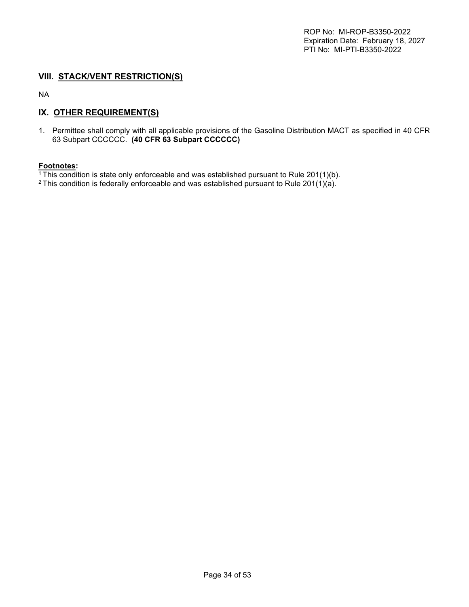## **VIII. STACK/VENT RESTRICTION(S)**

NA

## **IX. OTHER REQUIREMENT(S)**

1. Permittee shall comply with all applicable provisions of the Gasoline Distribution MACT as specified in 40 CFR 63 Subpart CCCCCC. **(40 CFR 63 Subpart CCCCCC)**

#### **Footnotes:**

 $1$ This condition is state only enforceable and was established pursuant to Rule 201(1)(b).

<sup>2</sup> This condition is federally enforceable and was established pursuant to Rule 201(1)(a).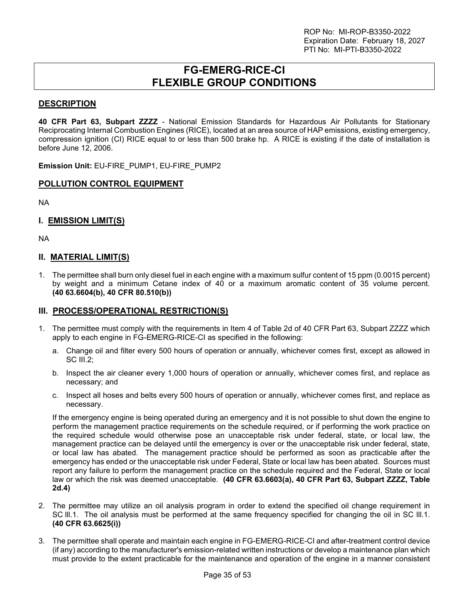## **FG-EMERG-RICE-CI FLEXIBLE GROUP CONDITIONS**

## <span id="page-34-0"></span>**DESCRIPTION**

**40 CFR Part 63, Subpart ZZZZ** - National Emission Standards for Hazardous Air Pollutants for Stationary Reciprocating Internal Combustion Engines (RICE), located at an area source of HAP emissions, existing emergency, compression ignition (CI) RICE equal to or less than 500 brake hp. A RICE is existing if the date of installation is before June 12, 2006.

**Emission Unit:** EU-FIRE\_PUMP1, EU-FIRE\_PUMP2

### **POLLUTION CONTROL EQUIPMENT**

NA

## **I. EMISSION LIMIT(S)**

NA

### **II. MATERIAL LIMIT(S)**

1. The permittee shall burn only diesel fuel in each engine with a maximum sulfur content of 15 ppm (0.0015 percent) by weight and a minimum Cetane index of 40 or a maximum aromatic content of 35 volume percent. **(40 63.6604(b), 40 CFR 80.510(b))**

### **III. PROCESS/OPERATIONAL RESTRICTION(S)**

- 1. The permittee must comply with the requirements in Item 4 of Table 2d of 40 CFR Part 63, Subpart ZZZZ which apply to each engine in FG-EMERG-RICE-CI as specified in the following:
	- a. Change oil and filter every 500 hours of operation or annually, whichever comes first, except as allowed in SC III.2;
	- b. Inspect the air cleaner every 1,000 hours of operation or annually, whichever comes first, and replace as necessary; and
	- c. Inspect all hoses and belts every 500 hours of operation or annually, whichever comes first, and replace as necessary.

If the emergency engine is being operated during an emergency and it is not possible to shut down the engine to perform the management practice requirements on the schedule required, or if performing the work practice on the required schedule would otherwise pose an unacceptable risk under federal, state, or local law, the management practice can be delayed until the emergency is over or the unacceptable risk under federal, state, or local law has abated. The management practice should be performed as soon as practicable after the emergency has ended or the unacceptable risk under Federal, State or local law has been abated. Sources must report any failure to perform the management practice on the schedule required and the Federal, State or local law or which the risk was deemed unacceptable. **(40 CFR 63.6603(a), 40 CFR Part 63, Subpart ZZZZ, Table 2d.4)**

- 2. The permittee may utilize an oil analysis program in order to extend the specified oil change requirement in SC lll.1. The oil analysis must be performed at the same frequency specified for changing the oil in SC lll.1. **(40 CFR 63.6625(i))**
- 3. The permittee shall operate and maintain each engine in FG-EMERG-RICE-CI and after-treatment control device (if any) according to the manufacturer's emission-related written instructions or develop a maintenance plan which must provide to the extent practicable for the maintenance and operation of the engine in a manner consistent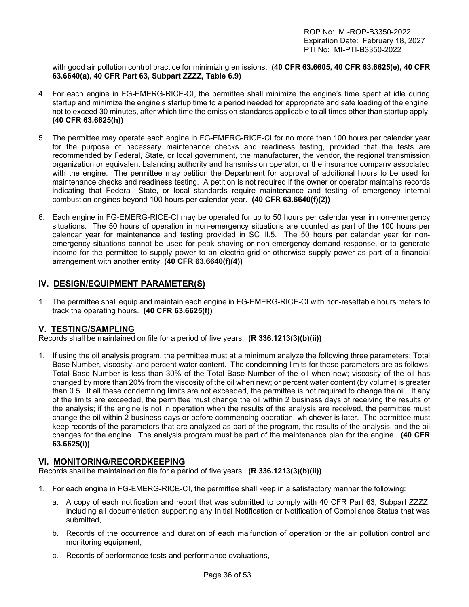with good air pollution control practice for minimizing emissions. **(40 CFR 63.6605, 40 CFR 63.6625(e), 40 CFR 63.6640(a), 40 CFR Part 63, Subpart ZZZZ, Table 6.9)**

- 4. For each engine in FG-EMERG-RICE-CI, the permittee shall minimize the engine's time spent at idle during startup and minimize the engine's startup time to a period needed for appropriate and safe loading of the engine, not to exceed 30 minutes, after which time the emission standards applicable to all times other than startup apply. **(40 CFR 63.6625(h))**
- 5. The permittee may operate each engine in FG-EMERG-RICE-CI for no more than 100 hours per calendar year for the purpose of necessary maintenance checks and readiness testing, provided that the tests are recommended by Federal, State, or local government, the manufacturer, the vendor, the regional transmission organization or equivalent balancing authority and transmission operator, or the insurance company associated with the engine. The permittee may petition the Department for approval of additional hours to be used for maintenance checks and readiness testing. A petition is not required if the owner or operator maintains records indicating that Federal, State, or local standards require maintenance and testing of emergency internal combustion engines beyond 100 hours per calendar year. **(40 CFR 63.6640(f)(2))**
- 6. Each engine in FG-EMERG-RICE-CI may be operated for up to 50 hours per calendar year in non-emergency situations. The 50 hours of operation in non-emergency situations are counted as part of the 100 hours per calendar year for maintenance and testing provided in SC lll.5. The 50 hours per calendar year for nonemergency situations cannot be used for peak shaving or non-emergency demand response, or to generate income for the permittee to supply power to an electric grid or otherwise supply power as part of a financial arrangement with another entity. **(40 CFR 63.6640(f)(4))**

## **IV. DESIGN/EQUIPMENT PARAMETER(S)**

1. The permittee shall equip and maintain each engine in FG-EMERG-RICE-CI with non-resettable hours meters to track the operating hours. **(40 CFR 63.6625(f))** 

### **V. TESTING/SAMPLING**

Records shall be maintained on file for a period of five years. **(R 336.1213(3)(b)(ii))**

1. If using the oil analysis program, the permittee must at a minimum analyze the following three parameters: Total Base Number, viscosity, and percent water content. The condemning limits for these parameters are as follows: Total Base Number is less than 30% of the Total Base Number of the oil when new; viscosity of the oil has changed by more than 20% from the viscosity of the oil when new; or percent water content (by volume) is greater than 0.5. If all these condemning limits are not exceeded, the permittee is not required to change the oil. If any of the limits are exceeded, the permittee must change the oil within 2 business days of receiving the results of the analysis; if the engine is not in operation when the results of the analysis are received, the permittee must change the oil within 2 business days or before commencing operation, whichever is later. The permittee must keep records of the parameters that are analyzed as part of the program, the results of the analysis, and the oil changes for the engine. The analysis program must be part of the maintenance plan for the engine. **(40 CFR 63.6625(i))** 

### **VI. MONITORING/RECORDKEEPING**

Records shall be maintained on file for a period of five years. **(R 336.1213(3)(b)(ii))**

- 1. For each engine in FG-EMERG-RICE-CI, the permittee shall keep in a satisfactory manner the following:
	- a. A copy of each notification and report that was submitted to comply with 40 CFR Part 63, Subpart ZZZZ, including all documentation supporting any Initial Notification or Notification of Compliance Status that was submitted,
	- b. Records of the occurrence and duration of each malfunction of operation or the air pollution control and monitoring equipment,
	- c. Records of performance tests and performance evaluations,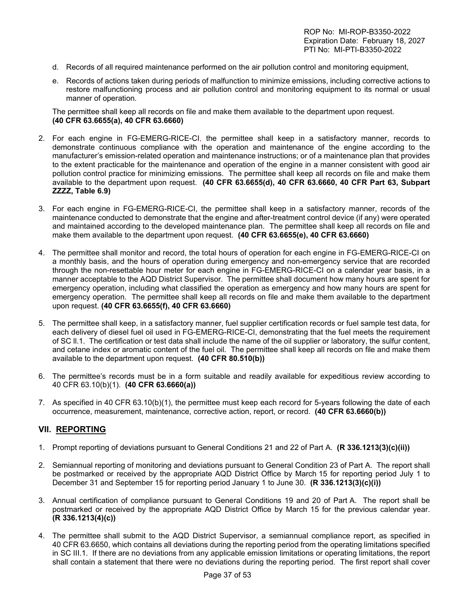- d. Records of all required maintenance performed on the air pollution control and monitoring equipment,
- e. Records of actions taken during periods of malfunction to minimize emissions, including corrective actions to restore malfunctioning process and air pollution control and monitoring equipment to its normal or usual manner of operation.

The permittee shall keep all records on file and make them available to the department upon request. **(40 CFR 63.6655(a), 40 CFR 63.6660)**

- 2. For each engine in FG-EMERG-RICE-CI, the permittee shall keep in a satisfactory manner, records to demonstrate continuous compliance with the operation and maintenance of the engine according to the manufacturer's emission-related operation and maintenance instructions; or of a maintenance plan that provides to the extent practicable for the maintenance and operation of the engine in a manner consistent with good air pollution control practice for minimizing emissions. The permittee shall keep all records on file and make them available to the department upon request. **(40 CFR 63.6655(d), 40 CFR 63.6660, 40 CFR Part 63, Subpart ZZZZ, Table 6.9)**
- 3. For each engine in FG-EMERG-RICE-CI, the permittee shall keep in a satisfactory manner, records of the maintenance conducted to demonstrate that the engine and after-treatment control device (if any) were operated and maintained according to the developed maintenance plan. The permittee shall keep all records on file and make them available to the department upon request. **(40 CFR 63.6655(e), 40 CFR 63.6660)**
- 4. The permittee shall monitor and record, the total hours of operation for each engine in FG-EMERG-RICE-CI on a monthly basis, and the hours of operation during emergency and non-emergency service that are recorded through the non-resettable hour meter for each engine in FG-EMERG-RICE-CI on a calendar year basis, in a manner acceptable to the AQD District Supervisor. The permittee shall document how many hours are spent for emergency operation, including what classified the operation as emergency and how many hours are spent for emergency operation. The permittee shall keep all records on file and make them available to the department upon request. **(40 CFR 63.6655(f), 40 CFR 63.6660)**
- 5. The permittee shall keep, in a satisfactory manner, fuel supplier certification records or fuel sample test data, for each delivery of diesel fuel oil used in FG-EMERG-RICE-CI, demonstrating that the fuel meets the requirement of SC ll.1. The certification or test data shall include the name of the oil supplier or laboratory, the sulfur content, and cetane index or aromatic content of the fuel oil. The permittee shall keep all records on file and make them available to the department upon request. **(40 CFR 80.510(b))**
- 6. The permittee's records must be in a form suitable and readily available for expeditious review according to 40 CFR 63.10(b)(1). **(40 CFR 63.6660(a))**
- 7. As specified in 40 CFR 63.10(b)(1), the permittee must keep each record for 5-years following the date of each occurrence, measurement, maintenance, corrective action, report, or record. **(40 CFR 63.6660(b))**

## **VII. REPORTING**

- 1. Prompt reporting of deviations pursuant to General Conditions 21 and 22 of Part A. **(R 336.1213(3)(c)(ii))**
- 2. Semiannual reporting of monitoring and deviations pursuant to General Condition 23 of Part A. The report shall be postmarked or received by the appropriate AQD District Office by March 15 for reporting period July 1 to December 31 and September 15 for reporting period January 1 to June 30. **(R 336.1213(3)(c)(i))**
- 3. Annual certification of compliance pursuant to General Conditions 19 and 20 of Part A. The report shall be postmarked or received by the appropriate AQD District Office by March 15 for the previous calendar year. **(R 336.1213(4)(c))**
- 4. The permittee shall submit to the AQD District Supervisor, a semiannual compliance report, as specified in 40 CFR 63.6650, which contains all deviations during the reporting period from the operating limitations specified in SC III.1. If there are no deviations from any applicable emission limitations or operating limitations, the report shall contain a statement that there were no deviations during the reporting period. The first report shall cover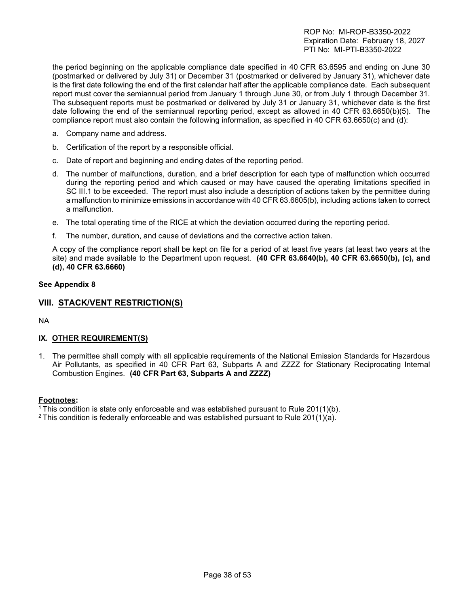the period beginning on the applicable compliance date specified in 40 CFR 63.6595 and ending on June 30 (postmarked or delivered by July 31) or December 31 (postmarked or delivered by January 31), whichever date is the first date following the end of the first calendar half after the applicable compliance date. Each subsequent report must cover the semiannual period from January 1 through June 30, or from July 1 through December 31. The subsequent reports must be postmarked or delivered by July 31 or January 31, whichever date is the first date following the end of the semiannual reporting period, except as allowed in 40 CFR 63.6650(b)(5). The compliance report must also contain the following information, as specified in 40 CFR 63.6650(c) and (d):

- a. Company name and address.
- b. Certification of the report by a responsible official.
- c. Date of report and beginning and ending dates of the reporting period.
- d. The number of malfunctions, duration, and a brief description for each type of malfunction which occurred during the reporting period and which caused or may have caused the operating limitations specified in SC III.1 to be exceeded. The report must also include a description of actions taken by the permittee during a malfunction to minimize emissions in accordance with 40 CFR 63.6605(b), including actions taken to correct a malfunction.
- e. The total operating time of the RICE at which the deviation occurred during the reporting period.
- f. The number, duration, and cause of deviations and the corrective action taken.

A copy of the compliance report shall be kept on file for a period of at least five years (at least two years at the site) and made available to the Department upon request. **(40 CFR 63.6640(b), 40 CFR 63.6650(b), (c), and (d), 40 CFR 63.6660)**

#### **See Appendix 8**

## **VIII. STACK/VENT RESTRICTION(S)**

NA

### **IX. OTHER REQUIREMENT(S)**

1. The permittee shall comply with all applicable requirements of the National Emission Standards for Hazardous Air Pollutants, as specified in 40 CFR Part 63, Subparts A and ZZZZ for Stationary Reciprocating Internal Combustion Engines. **(40 CFR Part 63, Subparts A and ZZZZ)**

#### **Footnotes:**

- <sup>1</sup> This condition is state only enforceable and was established pursuant to Rule 201(1)(b).
- <sup>2</sup> This condition is federally enforceable and was established pursuant to Rule 201(1)(a).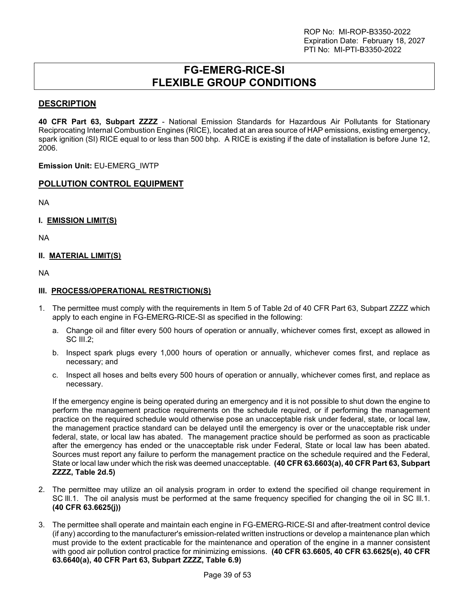## **FG-EMERG-RICE-SI FLEXIBLE GROUP CONDITIONS**

## <span id="page-38-0"></span>**DESCRIPTION**

**40 CFR Part 63, Subpart ZZZZ** - National Emission Standards for Hazardous Air Pollutants for Stationary Reciprocating Internal Combustion Engines (RICE), located at an area source of HAP emissions, existing emergency, spark ignition (SI) RICE equal to or less than 500 bhp. A RICE is existing if the date of installation is before June 12, 2006.

**Emission Unit:** EU-EMERG\_IWTP

### **POLLUTION CONTROL EQUIPMENT**

NA

**I. EMISSION LIMIT(S)** 

NA

### **II. MATERIAL LIMIT(S)**

NA

#### **III. PROCESS/OPERATIONAL RESTRICTION(S)**

- 1. The permittee must comply with the requirements in Item 5 of Table 2d of 40 CFR Part 63, Subpart ZZZZ which apply to each engine in FG-EMERG-RICE-SI as specified in the following:
	- a. Change oil and filter every 500 hours of operation or annually, whichever comes first, except as allowed in SC III.2;
	- b. Inspect spark plugs every 1,000 hours of operation or annually, whichever comes first, and replace as necessary; and
	- c. Inspect all hoses and belts every 500 hours of operation or annually, whichever comes first, and replace as necessary.

If the emergency engine is being operated during an emergency and it is not possible to shut down the engine to perform the management practice requirements on the schedule required, or if performing the management practice on the required schedule would otherwise pose an unacceptable risk under federal, state, or local law, the management practice standard can be delayed until the emergency is over or the unacceptable risk under federal, state, or local law has abated. The management practice should be performed as soon as practicable after the emergency has ended or the unacceptable risk under Federal, State or local law has been abated. Sources must report any failure to perform the management practice on the schedule required and the Federal, State or local law under which the risk was deemed unacceptable. **(40 CFR 63.6603(a), 40 CFR Part 63, Subpart ZZZZ, Table 2d.5)**

- 2. The permittee may utilize an oil analysis program in order to extend the specified oil change requirement in SC lll.1. The oil analysis must be performed at the same frequency specified for changing the oil in SC lll.1. **(40 CFR 63.6625(j))**
- 3. The permittee shall operate and maintain each engine in FG-EMERG-RICE-SI and after-treatment control device (if any) according to the manufacturer's emission-related written instructions or develop a maintenance plan which must provide to the extent practicable for the maintenance and operation of the engine in a manner consistent with good air pollution control practice for minimizing emissions. **(40 CFR 63.6605, 40 CFR 63.6625(e), 40 CFR 63.6640(a), 40 CFR Part 63, Subpart ZZZZ, Table 6.9)**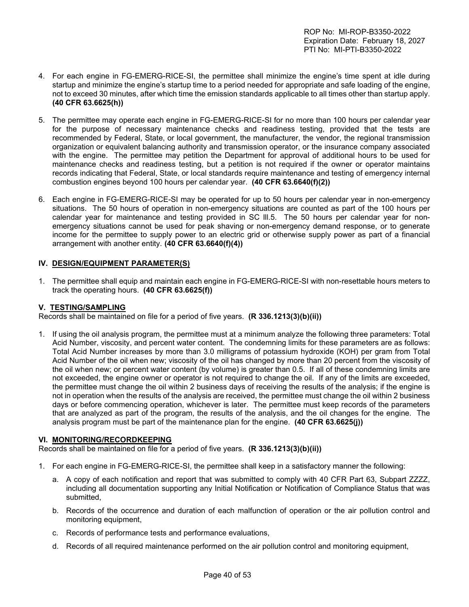- 4. For each engine in FG-EMERG-RICE-SI, the permittee shall minimize the engine's time spent at idle during startup and minimize the engine's startup time to a period needed for appropriate and safe loading of the engine, not to exceed 30 minutes, after which time the emission standards applicable to all times other than startup apply. **(40 CFR 63.6625(h))**
- 5. The permittee may operate each engine in FG-EMERG-RICE-SI for no more than 100 hours per calendar year for the purpose of necessary maintenance checks and readiness testing, provided that the tests are recommended by Federal, State, or local government, the manufacturer, the vendor, the regional transmission organization or equivalent balancing authority and transmission operator, or the insurance company associated with the engine. The permittee may petition the Department for approval of additional hours to be used for maintenance checks and readiness testing, but a petition is not required if the owner or operator maintains records indicating that Federal, State, or local standards require maintenance and testing of emergency internal combustion engines beyond 100 hours per calendar year. **(40 CFR 63.6640(f)(2))**
- 6. Each engine in FG-EMERG-RICE-SI may be operated for up to 50 hours per calendar year in non-emergency situations. The 50 hours of operation in non-emergency situations are counted as part of the 100 hours per calendar year for maintenance and testing provided in SC lll.5. The 50 hours per calendar year for nonemergency situations cannot be used for peak shaving or non-emergency demand response, or to generate income for the permittee to supply power to an electric grid or otherwise supply power as part of a financial arrangement with another entity. **(40 CFR 63.6640(f)(4))**

## **IV. DESIGN/EQUIPMENT PARAMETER(S)**

1. The permittee shall equip and maintain each engine in FG-EMERG-RICE-SI with non-resettable hours meters to track the operating hours. **(40 CFR 63.6625(f))** 

### **V. TESTING/SAMPLING**

Records shall be maintained on file for a period of five years. **(R 336.1213(3)(b)(ii))**

1. If using the oil analysis program, the permittee must at a minimum analyze the following three parameters: Total Acid Number, viscosity, and percent water content. The condemning limits for these parameters are as follows: Total Acid Number increases by more than 3.0 milligrams of potassium hydroxide (KOH) per gram from Total Acid Number of the oil when new; viscosity of the oil has changed by more than 20 percent from the viscosity of the oil when new; or percent water content (by volume) is greater than 0.5. If all of these condemning limits are not exceeded, the engine owner or operator is not required to change the oil. If any of the limits are exceeded, the permittee must change the oil within 2 business days of receiving the results of the analysis; if the engine is not in operation when the results of the analysis are received, the permittee must change the oil within 2 business days or before commencing operation, whichever is later. The permittee must keep records of the parameters that are analyzed as part of the program, the results of the analysis, and the oil changes for the engine. The analysis program must be part of the maintenance plan for the engine. **(40 CFR 63.6625(j))** 

### **VI. MONITORING/RECORDKEEPING**

Records shall be maintained on file for a period of five years. **(R 336.1213(3)(b)(ii))**

- 1. For each engine in FG-EMERG-RICE-SI, the permittee shall keep in a satisfactory manner the following:
	- a. A copy of each notification and report that was submitted to comply with 40 CFR Part 63, Subpart ZZZZ, including all documentation supporting any Initial Notification or Notification of Compliance Status that was submitted,
	- b. Records of the occurrence and duration of each malfunction of operation or the air pollution control and monitoring equipment,
	- c. Records of performance tests and performance evaluations,
	- d. Records of all required maintenance performed on the air pollution control and monitoring equipment,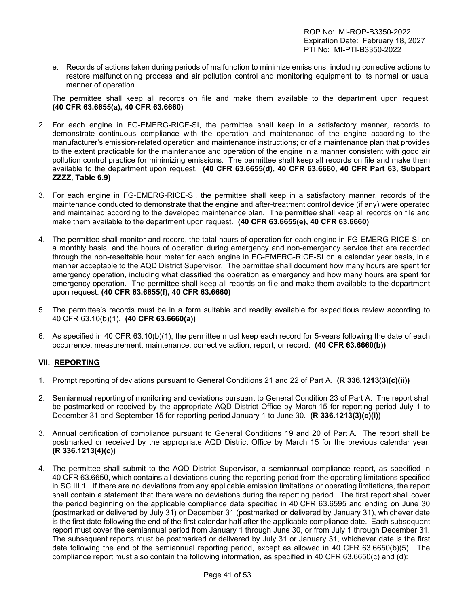e. Records of actions taken during periods of malfunction to minimize emissions, including corrective actions to restore malfunctioning process and air pollution control and monitoring equipment to its normal or usual manner of operation.

The permittee shall keep all records on file and make them available to the department upon request. **(40 CFR 63.6655(a), 40 CFR 63.6660)**

- 2. For each engine in FG-EMERG-RICE-SI, the permittee shall keep in a satisfactory manner, records to demonstrate continuous compliance with the operation and maintenance of the engine according to the manufacturer's emission-related operation and maintenance instructions; or of a maintenance plan that provides to the extent practicable for the maintenance and operation of the engine in a manner consistent with good air pollution control practice for minimizing emissions. The permittee shall keep all records on file and make them available to the department upon request. **(40 CFR 63.6655(d), 40 CFR 63.6660, 40 CFR Part 63, Subpart ZZZZ, Table 6.9)**
- 3. For each engine in FG-EMERG-RICE-SI, the permittee shall keep in a satisfactory manner, records of the maintenance conducted to demonstrate that the engine and after-treatment control device (if any) were operated and maintained according to the developed maintenance plan. The permittee shall keep all records on file and make them available to the department upon request. **(40 CFR 63.6655(e), 40 CFR 63.6660)**
- 4. The permittee shall monitor and record, the total hours of operation for each engine in FG-EMERG-RICE-SI on a monthly basis, and the hours of operation during emergency and non-emergency service that are recorded through the non-resettable hour meter for each engine in FG-EMERG-RICE-SI on a calendar year basis, in a manner acceptable to the AQD District Supervisor. The permittee shall document how many hours are spent for emergency operation, including what classified the operation as emergency and how many hours are spent for emergency operation. The permittee shall keep all records on file and make them available to the department upon request. **(40 CFR 63.6655(f), 40 CFR 63.6660)**
- 5. The permittee's records must be in a form suitable and readily available for expeditious review according to 40 CFR 63.10(b)(1). **(40 CFR 63.6660(a))**
- 6. As specified in 40 CFR 63.10(b)(1), the permittee must keep each record for 5-years following the date of each occurrence, measurement, maintenance, corrective action, report, or record. **(40 CFR 63.6660(b))**

## **VII. REPORTING**

- 1. Prompt reporting of deviations pursuant to General Conditions 21 and 22 of Part A. **(R 336.1213(3)(c)(ii))**
- 2. Semiannual reporting of monitoring and deviations pursuant to General Condition 23 of Part A. The report shall be postmarked or received by the appropriate AQD District Office by March 15 for reporting period July 1 to December 31 and September 15 for reporting period January 1 to June 30. **(R 336.1213(3)(c)(i))**
- 3. Annual certification of compliance pursuant to General Conditions 19 and 20 of Part A. The report shall be postmarked or received by the appropriate AQD District Office by March 15 for the previous calendar year. **(R 336.1213(4)(c))**
- 4. The permittee shall submit to the AQD District Supervisor, a semiannual compliance report, as specified in 40 CFR 63.6650, which contains all deviations during the reporting period from the operating limitations specified in SC III.1. If there are no deviations from any applicable emission limitations or operating limitations, the report shall contain a statement that there were no deviations during the reporting period. The first report shall cover the period beginning on the applicable compliance date specified in 40 CFR 63.6595 and ending on June 30 (postmarked or delivered by July 31) or December 31 (postmarked or delivered by January 31), whichever date is the first date following the end of the first calendar half after the applicable compliance date. Each subsequent report must cover the semiannual period from January 1 through June 30, or from July 1 through December 31. The subsequent reports must be postmarked or delivered by July 31 or January 31, whichever date is the first date following the end of the semiannual reporting period, except as allowed in 40 CFR 63.6650(b)(5). The compliance report must also contain the following information, as specified in 40 CFR 63.6650(c) and (d):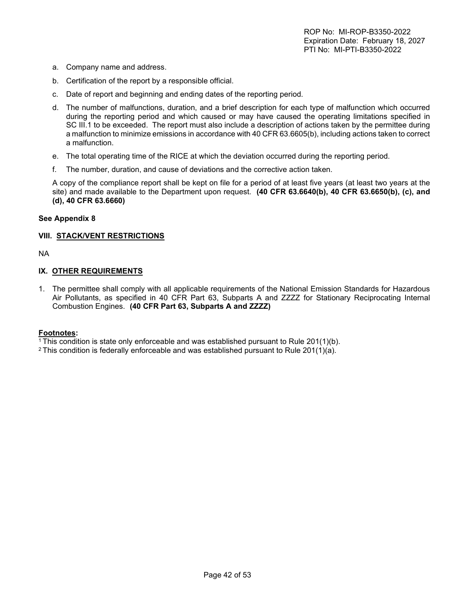- a. Company name and address.
- b. Certification of the report by a responsible official.
- c. Date of report and beginning and ending dates of the reporting period.
- d. The number of malfunctions, duration, and a brief description for each type of malfunction which occurred during the reporting period and which caused or may have caused the operating limitations specified in SC III.1 to be exceeded. The report must also include a description of actions taken by the permittee during a malfunction to minimize emissions in accordance with 40 CFR 63.6605(b), including actions taken to correct a malfunction.
- e. The total operating time of the RICE at which the deviation occurred during the reporting period.
- f. The number, duration, and cause of deviations and the corrective action taken.

A copy of the compliance report shall be kept on file for a period of at least five years (at least two years at the site) and made available to the Department upon request. **(40 CFR 63.6640(b), 40 CFR 63.6650(b), (c), and (d), 40 CFR 63.6660)** 

#### **See Appendix 8**

### **VIII. STACK/VENT RESTRICTIONS**

NA

#### **IX. OTHER REQUIREMENTS**

1. The permittee shall comply with all applicable requirements of the National Emission Standards for Hazardous Air Pollutants, as specified in 40 CFR Part 63, Subparts A and ZZZZ for Stationary Reciprocating Internal Combustion Engines. **(40 CFR Part 63, Subparts A and ZZZZ)** 

#### **Footnotes:**

<sup>1</sup>This condition is state only enforceable and was established pursuant to Rule 201(1)(b).

<sup>2</sup> This condition is federally enforceable and was established pursuant to Rule 201(1)(a).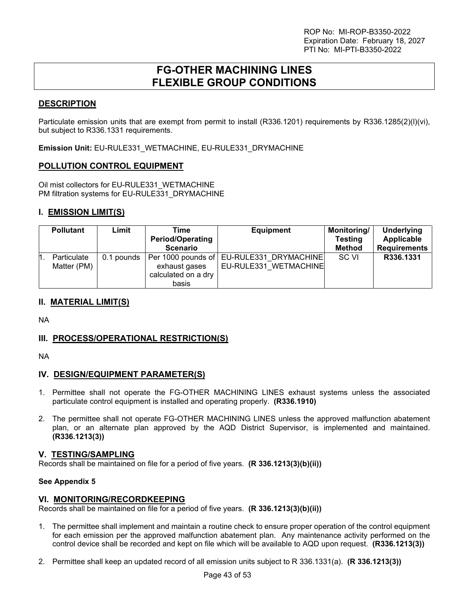## **FG-OTHER MACHINING LINES FLEXIBLE GROUP CONDITIONS**

## <span id="page-42-0"></span>**DESCRIPTION**

Particulate emission units that are exempt from permit to install (R336.1201) requirements by R336.1285(2)(l)(vi), but subject to R336.1331 requirements.

**Emission Unit:** EU-RULE331\_WETMACHINE, EU-RULE331\_DRYMACHINE

## **POLLUTION CONTROL EQUIPMENT**

Oil mist collectors for EU-RULE331\_WETMACHINE PM filtration systems for EU-RULE331\_DRYMACHINE

## **I. EMISSION LIMIT(S)**

| <b>Pollutant</b>           | Limit      | Time<br><b>Period/Operating</b><br><b>Scenario</b>                  | <b>Equipment</b>                               | Monitoring/<br><b>Testing</b><br><b>Method</b> | <b>Underlying</b><br>Applicable<br><b>Requirements</b> |
|----------------------------|------------|---------------------------------------------------------------------|------------------------------------------------|------------------------------------------------|--------------------------------------------------------|
| Particulate<br>Matter (PM) | 0.1 pounds | Per 1000 pounds of<br>exhaust gases<br>calculated on a dry<br>basis | EU-RULE331 DRYMACHINE<br>EU-RULE331 WETMACHINE | SC VI                                          | R336.1331                                              |

## **II. MATERIAL LIMIT(S)**

NA

## **III. PROCESS/OPERATIONAL RESTRICTION(S)**

NA

## **IV. DESIGN/EQUIPMENT PARAMETER(S)**

- 1. Permittee shall not operate the FG-OTHER MACHINING LINES exhaust systems unless the associated particulate control equipment is installed and operating properly. **(R336.1910)**
- 2. The permittee shall not operate FG-OTHER MACHINING LINES unless the approved malfunction abatement plan, or an alternate plan approved by the AQD District Supervisor, is implemented and maintained. **(R336.1213(3))**

### **V. TESTING/SAMPLING**

Records shall be maintained on file for a period of five years. **(R 336.1213(3)(b)(ii))**

#### **See Appendix 5**

### **VI. MONITORING/RECORDKEEPING**

Records shall be maintained on file for a period of five years. **(R 336.1213(3)(b)(ii))**

- 1. The permittee shall implement and maintain a routine check to ensure proper operation of the control equipment for each emission per the approved malfunction abatement plan. Any maintenance activity performed on the control device shall be recorded and kept on file which will be available to AQD upon request. **(R336.1213(3))**
- 2. Permittee shall keep an updated record of all emission units subject to R 336.1331(a). **(R 336.1213(3))**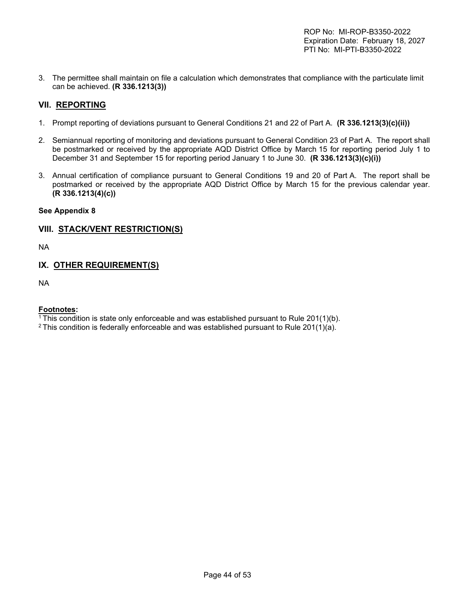3. The permittee shall maintain on file a calculation which demonstrates that compliance with the particulate limit can be achieved. **(R 336.1213(3))**

## **VII. REPORTING**

- 1. Prompt reporting of deviations pursuant to General Conditions 21 and 22 of Part A. **(R 336.1213(3)(c)(ii))**
- 2. Semiannual reporting of monitoring and deviations pursuant to General Condition 23 of Part A. The report shall be postmarked or received by the appropriate AQD District Office by March 15 for reporting period July 1 to December 31 and September 15 for reporting period January 1 to June 30. **(R 336.1213(3)(c)(i))**
- 3. Annual certification of compliance pursuant to General Conditions 19 and 20 of Part A. The report shall be postmarked or received by the appropriate AQD District Office by March 15 for the previous calendar year. **(R 336.1213(4)(c))**

## **See Appendix 8**

## **VIII. STACK/VENT RESTRICTION(S)**

NA

## **IX. OTHER REQUIREMENT(S)**

NA

### **Footnotes:**

<sup>1</sup> This condition is state only enforceable and was established pursuant to Rule  $201(1)(b)$ .

<sup>2</sup> This condition is federally enforceable and was established pursuant to Rule 201(1)(a).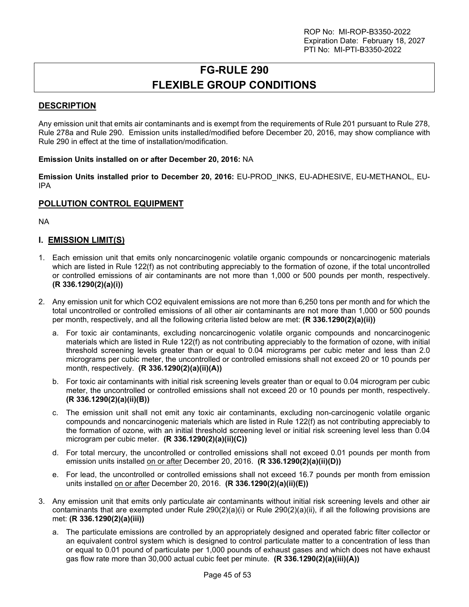# **FG-RULE 290 FLEXIBLE GROUP CONDITIONS**

## <span id="page-44-0"></span>**DESCRIPTION**

Any emission unit that emits air contaminants and is exempt from the requirements of Rule 201 pursuant to Rule 278, Rule 278a and Rule 290. Emission units installed/modified before December 20, 2016, may show compliance with Rule 290 in effect at the time of installation/modification.

#### **Emission Units installed on or after December 20, 2016:** NA

**Emission Units installed prior to December 20, 2016:** EU-PROD\_INKS, EU-ADHESIVE, EU-METHANOL, EU-IPA

### **POLLUTION CONTROL EQUIPMENT**

NA

## **I. EMISSION LIMIT(S)**

- 1. Each emission unit that emits only noncarcinogenic volatile organic compounds or noncarcinogenic materials which are listed in Rule 122(f) as not contributing appreciably to the formation of ozone, if the total uncontrolled or controlled emissions of air contaminants are not more than 1,000 or 500 pounds per month, respectively. **(R 336.1290(2)(a)(i))**
- 2. Any emission unit for which CO2 equivalent emissions are not more than 6,250 tons per month and for which the total uncontrolled or controlled emissions of all other air contaminants are not more than 1,000 or 500 pounds per month, respectively, and all the following criteria listed below are met: **(R 336.1290(2)(a)(ii))** 
	- a. For toxic air contaminants, excluding noncarcinogenic volatile organic compounds and noncarcinogenic materials which are listed in Rule 122(f) as not contributing appreciably to the formation of ozone, with initial threshold screening levels greater than or equal to 0.04 micrograms per cubic meter and less than 2.0 micrograms per cubic meter, the uncontrolled or controlled emissions shall not exceed 20 or 10 pounds per month, respectively. **(R 336.1290(2)(a)(ii)(A))**
	- b. For toxic air contaminants with initial risk screening levels greater than or equal to 0.04 microgram per cubic meter, the uncontrolled or controlled emissions shall not exceed 20 or 10 pounds per month, respectively. **(R 336.1290(2)(a)(ii)(B))**
	- c. The emission unit shall not emit any toxic air contaminants, excluding non-carcinogenic volatile organic compounds and noncarcinogenic materials which are listed in Rule 122(f) as not contributing appreciably to the formation of ozone, with an initial threshold screening level or initial risk screening level less than 0.04 microgram per cubic meter. **(R 336.1290(2)(a)(ii)(C))**
	- d. For total mercury, the uncontrolled or controlled emissions shall not exceed 0.01 pounds per month from emission units installed on or after December 20, 2016. **(R 336.1290(2)(a)(ii)(D))**
	- e. For lead, the uncontrolled or controlled emissions shall not exceed 16.7 pounds per month from emission units installed on or after December 20, 2016. **(R 336.1290(2)(a)(ii)(E))**
- 3. Any emission unit that emits only particulate air contaminants without initial risk screening levels and other air contaminants that are exempted under Rule 290(2)(a)(i) or Rule 290(2)(a)(ii), if all the following provisions are met: **(R 336.1290(2)(a)(iii))** 
	- a. The particulate emissions are controlled by an appropriately designed and operated fabric filter collector or an equivalent control system which is designed to control particulate matter to a concentration of less than or equal to 0.01 pound of particulate per 1,000 pounds of exhaust gases and which does not have exhaust gas flow rate more than 30,000 actual cubic feet per minute. **(R 336.1290(2)(a)(iii)(A))**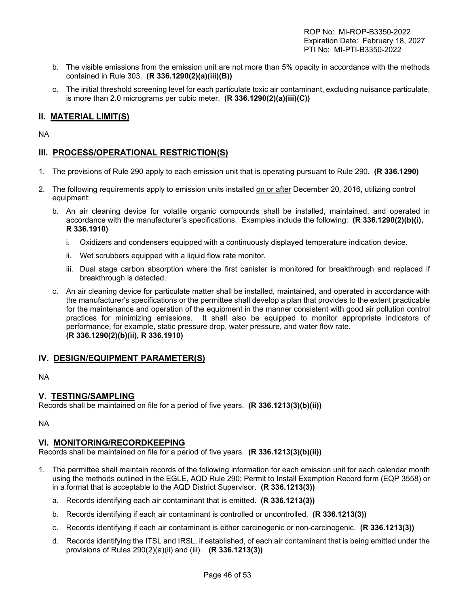- b. The visible emissions from the emission unit are not more than 5% opacity in accordance with the methods contained in Rule 303. **(R 336.1290(2)(a)(iii)(B))**
- c. The initial threshold screening level for each particulate toxic air contaminant, excluding nuisance particulate, is more than 2.0 micrograms per cubic meter. **(R 336.1290(2)(a)(iii)(C))**

## **II. MATERIAL LIMIT(S)**

NA

## **III. PROCESS/OPERATIONAL RESTRICTION(S)**

- 1. The provisions of Rule 290 apply to each emission unit that is operating pursuant to Rule 290. **(R 336.1290)**
- 2. The following requirements apply to emission units installed on or after December 20, 2016, utilizing control equipment:
	- b. An air cleaning device for volatile organic compounds shall be installed, maintained, and operated in accordance with the manufacturer's specifications. Examples include the following: **(R 336.1290(2)(b)(i), R 336.1910)**
		- i. Oxidizers and condensers equipped with a continuously displayed temperature indication device.
		- ii. Wet scrubbers equipped with a liquid flow rate monitor.
		- iii. Dual stage carbon absorption where the first canister is monitored for breakthrough and replaced if breakthrough is detected.
	- c. An air cleaning device for particulate matter shall be installed, maintained, and operated in accordance with the manufacturer's specifications or the permittee shall develop a plan that provides to the extent practicable for the maintenance and operation of the equipment in the manner consistent with good air pollution control practices for minimizing emissions. It shall also be equipped to monitor appropriate indicators of performance, for example, static pressure drop, water pressure, and water flow rate. **(R 336.1290(2)(b)(ii), R 336.1910)**

### **IV. DESIGN/EQUIPMENT PARAMETER(S)**

NA

### **V. TESTING/SAMPLING**

Records shall be maintained on file for a period of five years. **(R 336.1213(3)(b)(ii))** 

NA

#### **VI. MONITORING/RECORDKEEPING**

Records shall be maintained on file for a period of five years. **(R 336.1213(3)(b)(ii))**

- 1. The permittee shall maintain records of the following information for each emission unit for each calendar month using the methods outlined in the EGLE, AQD Rule 290; Permit to Install Exemption Record form (EQP 3558) or in a format that is acceptable to the AQD District Supervisor. **(R 336.1213(3))** 
	- a. Records identifying each air contaminant that is emitted. **(R 336.1213(3))**
	- b. Records identifying if each air contaminant is controlled or uncontrolled. **(R 336.1213(3))**
	- c. Records identifying if each air contaminant is either carcinogenic or non-carcinogenic. **(R 336.1213(3))**
	- d. Records identifying the ITSL and IRSL, if established, of each air contaminant that is being emitted under the provisions of Rules 290(2)(a)(ii) and (iii). **(R 336.1213(3))**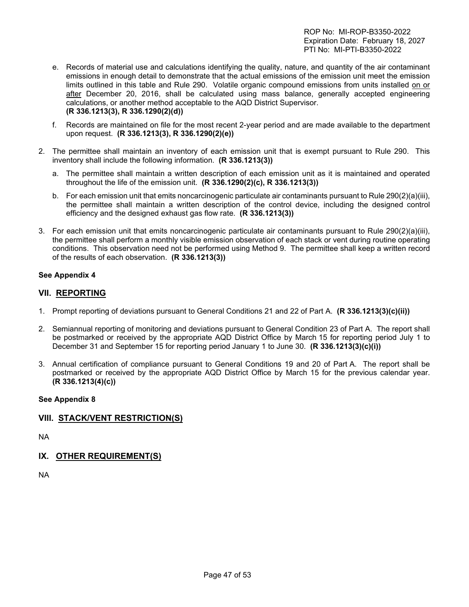- e. Records of material use and calculations identifying the quality, nature, and quantity of the air contaminant emissions in enough detail to demonstrate that the actual emissions of the emission unit meet the emission limits outlined in this table and Rule 290. Volatile organic compound emissions from units installed on or after December 20, 2016, shall be calculated using mass balance, generally accepted engineering calculations, or another method acceptable to the AQD District Supervisor. **(R 336.1213(3), R 336.1290(2)(d))**
- f. Records are maintained on file for the most recent 2-year period and are made available to the department upon request. **(R 336.1213(3), R 336.1290(2)(e))**
- 2. The permittee shall maintain an inventory of each emission unit that is exempt pursuant to Rule 290. This inventory shall include the following information. **(R 336.1213(3))** 
	- a. The permittee shall maintain a written description of each emission unit as it is maintained and operated throughout the life of the emission unit. **(R 336.1290(2)(c), R 336.1213(3))**
	- b. For each emission unit that emits noncarcinogenic particulate air contaminants pursuant to Rule 290(2)(a)(iii), the permittee shall maintain a written description of the control device, including the designed control efficiency and the designed exhaust gas flow rate. **(R 336.1213(3))**
- 3. For each emission unit that emits noncarcinogenic particulate air contaminants pursuant to Rule 290(2)(a)(iii), the permittee shall perform a monthly visible emission observation of each stack or vent during routine operating conditions. This observation need not be performed using Method 9. The permittee shall keep a written record of the results of each observation. **(R 336.1213(3))**

### **See Appendix 4**

## **VII. REPORTING**

- 1. Prompt reporting of deviations pursuant to General Conditions 21 and 22 of Part A. **(R 336.1213(3)(c)(ii))**
- 2. Semiannual reporting of monitoring and deviations pursuant to General Condition 23 of Part A. The report shall be postmarked or received by the appropriate AQD District Office by March 15 for reporting period July 1 to December 31 and September 15 for reporting period January 1 to June 30. **(R 336.1213(3)(c)(i))**
- 3. Annual certification of compliance pursuant to General Conditions 19 and 20 of Part A. The report shall be postmarked or received by the appropriate AQD District Office by March 15 for the previous calendar year. **(R 336.1213(4)(c))**

### **See Appendix 8**

## **VIII. STACK/VENT RESTRICTION(S)**

NA

## **IX. OTHER REQUIREMENT(S)**

NA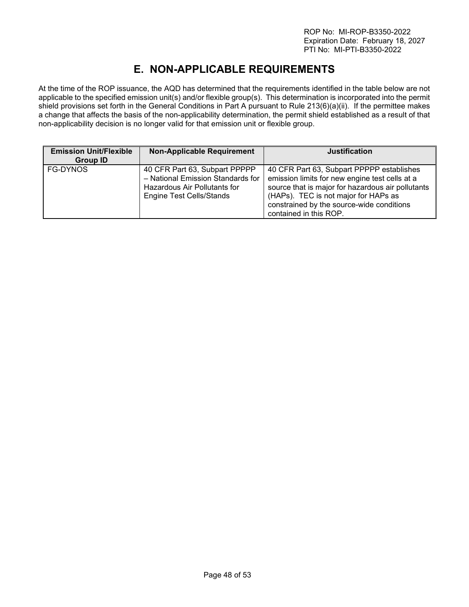# **E. NON-APPLICABLE REQUIREMENTS**

<span id="page-47-0"></span>At the time of the ROP issuance, the AQD has determined that the requirements identified in the table below are not applicable to the specified emission unit(s) and/or flexible group(s). This determination is incorporated into the permit shield provisions set forth in the General Conditions in Part A pursuant to Rule 213(6)(a)(ii). If the permittee makes a change that affects the basis of the non-applicability determination, the permit shield established as a result of that non-applicability decision is no longer valid for that emission unit or flexible group.

| <b>Emission Unit/Flexible</b><br>Group ID | <b>Non-Applicable Requirement</b>                                                                                                     | <b>Justification</b>                                                                                                                                                                                                                                            |
|-------------------------------------------|---------------------------------------------------------------------------------------------------------------------------------------|-----------------------------------------------------------------------------------------------------------------------------------------------------------------------------------------------------------------------------------------------------------------|
| FG-DYNOS                                  | 40 CFR Part 63, Subpart PPPPP<br>- National Emission Standards for<br>Hazardous Air Pollutants for<br><b>Engine Test Cells/Stands</b> | 40 CFR Part 63, Subpart PPPPP establishes<br>emission limits for new engine test cells at a<br>source that is major for hazardous air pollutants<br>(HAPs). TEC is not major for HAPs as<br>constrained by the source-wide conditions<br>contained in this ROP. |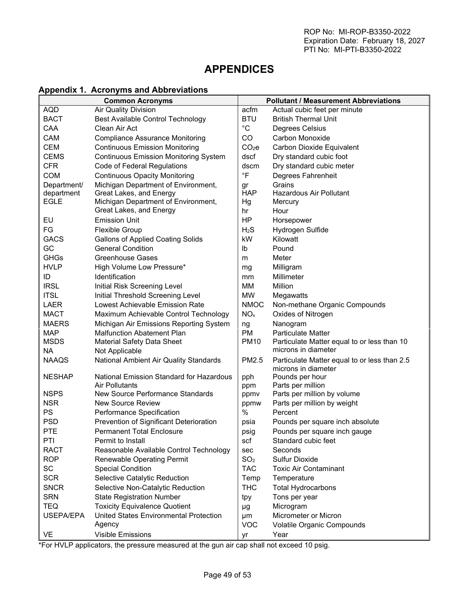## <span id="page-48-0"></span>**APPENDICES**

## <span id="page-48-1"></span>**Appendix 1. Acronyms and Abbreviations**

|               | <b>Common Acronyms</b>                          |                   | <b>Pollutant / Measurement Abbreviations</b>                        |
|---------------|-------------------------------------------------|-------------------|---------------------------------------------------------------------|
| <b>AQD</b>    | <b>Air Quality Division</b>                     | acfm              | Actual cubic feet per minute                                        |
| <b>BACT</b>   | <b>Best Available Control Technology</b>        | <b>BTU</b>        | <b>British Thermal Unit</b>                                         |
| CAA           | Clean Air Act                                   | $^{\circ}C$       | Degrees Celsius                                                     |
| CAM           | <b>Compliance Assurance Monitoring</b>          | CO                | Carbon Monoxide                                                     |
| CEM           | <b>Continuous Emission Monitoring</b>           | CO <sub>2</sub> e | Carbon Dioxide Equivalent                                           |
| <b>CEMS</b>   | <b>Continuous Emission Monitoring System</b>    | dscf              | Dry standard cubic foot                                             |
| <b>CFR</b>    | Code of Federal Regulations                     | dscm              | Dry standard cubic meter                                            |
| <b>COM</b>    | <b>Continuous Opacity Monitoring</b>            | $\degree$ F       | Degrees Fahrenheit                                                  |
| Department/   | Michigan Department of Environment,             | gr                | Grains                                                              |
| department    | Great Lakes, and Energy                         | <b>HAP</b>        | <b>Hazardous Air Pollutant</b>                                      |
| <b>EGLE</b>   | Michigan Department of Environment,             | Hg                | Mercury                                                             |
|               | Great Lakes, and Energy                         | hr                | Hour                                                                |
| EU            | <b>Emission Unit</b>                            | <b>HP</b>         | Horsepower                                                          |
| FG            | <b>Flexible Group</b>                           | $H_2S$            | Hydrogen Sulfide                                                    |
| <b>GACS</b>   | <b>Gallons of Applied Coating Solids</b>        | kW                | Kilowatt                                                            |
| GC            | <b>General Condition</b>                        | Ib                | Pound                                                               |
| <b>GHGs</b>   | <b>Greenhouse Gases</b>                         | m                 | Meter                                                               |
| <b>HVLP</b>   | High Volume Low Pressure*                       | mg                | Milligram                                                           |
| ID            | <b>Identification</b>                           | mm                | Millimeter                                                          |
| <b>IRSL</b>   | Initial Risk Screening Level                    | MM                | Million                                                             |
| <b>ITSL</b>   | Initial Threshold Screening Level               | <b>MW</b>         | Megawatts                                                           |
| <b>LAER</b>   | Lowest Achievable Emission Rate                 | <b>NMOC</b>       | Non-methane Organic Compounds                                       |
| <b>MACT</b>   | Maximum Achievable Control Technology           | NO <sub>x</sub>   | Oxides of Nitrogen                                                  |
| <b>MAERS</b>  | Michigan Air Emissions Reporting System         | ng                | Nanogram                                                            |
| <b>MAP</b>    | <b>Malfunction Abatement Plan</b>               | PM.               | <b>Particulate Matter</b>                                           |
| <b>MSDS</b>   | <b>Material Safety Data Sheet</b>               | <b>PM10</b>       | Particulate Matter equal to or less than 10                         |
| <b>NA</b>     | Not Applicable                                  |                   | microns in diameter                                                 |
| <b>NAAQS</b>  | National Ambient Air Quality Standards          | PM2.5             | Particulate Matter equal to or less than 2.5<br>microns in diameter |
| <b>NESHAP</b> | <b>National Emission Standard for Hazardous</b> | pph               | Pounds per hour                                                     |
|               | Air Pollutants                                  | ppm               | Parts per million                                                   |
| <b>NSPS</b>   | New Source Performance Standards                | ppmv              | Parts per million by volume                                         |
| <b>NSR</b>    | <b>New Source Review</b>                        | ppmw              | Parts per million by weight                                         |
| PS            | Performance Specification                       | $\frac{0}{0}$     | Percent                                                             |
| <b>PSD</b>    | Prevention of Significant Deterioration         | psia              | Pounds per square inch absolute                                     |
| <b>PTE</b>    | <b>Permanent Total Enclosure</b>                | psig              | Pounds per square inch gauge                                        |
| PTI           | Permit to Install                               | scf               | Standard cubic feet                                                 |
| <b>RACT</b>   | Reasonable Available Control Technology         | sec               | Seconds                                                             |
| <b>ROP</b>    | <b>Renewable Operating Permit</b>               | SO <sub>2</sub>   | Sulfur Dioxide                                                      |
| SC            | <b>Special Condition</b>                        | <b>TAC</b>        | <b>Toxic Air Contaminant</b>                                        |
| <b>SCR</b>    | Selective Catalytic Reduction                   | Temp              | Temperature                                                         |
| <b>SNCR</b>   | Selective Non-Catalytic Reduction               | <b>THC</b>        | <b>Total Hydrocarbons</b>                                           |
| <b>SRN</b>    | <b>State Registration Number</b>                | tpy               | Tons per year                                                       |
| <b>TEQ</b>    | <b>Toxicity Equivalence Quotient</b>            | μg                | Microgram                                                           |
| USEPA/EPA     | United States Environmental Protection          | μm                | Micrometer or Micron                                                |
|               | Agency                                          | <b>VOC</b>        | Volatile Organic Compounds                                          |
| VE            | <b>Visible Emissions</b>                        | yr                | Year                                                                |

\*For HVLP applicators, the pressure measured at the gun air cap shall not exceed 10 psig.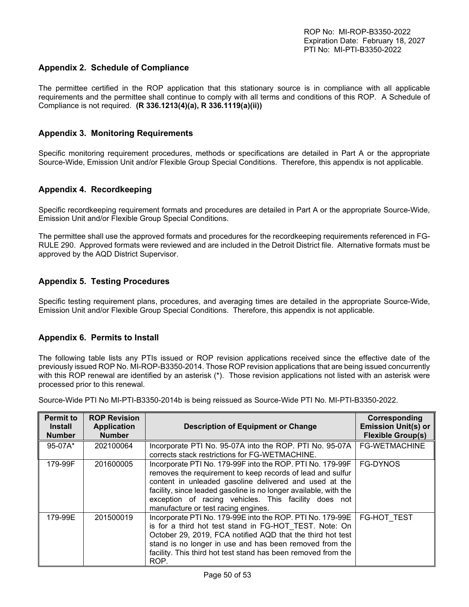## <span id="page-49-0"></span>**Appendix 2. Schedule of Compliance**

The permittee certified in the ROP application that this stationary source is in compliance with all applicable requirements and the permittee shall continue to comply with all terms and conditions of this ROP. A Schedule of Compliance is not required. **(R 336.1213(4)(a), R 336.1119(a)(ii))**

#### <span id="page-49-1"></span>**Appendix 3. Monitoring Requirements**

Specific monitoring requirement procedures, methods or specifications are detailed in Part A or the appropriate Source-Wide, Emission Unit and/or Flexible Group Special Conditions. Therefore, this appendix is not applicable.

#### <span id="page-49-2"></span>**Appendix 4. Recordkeeping**

Specific recordkeeping requirement formats and procedures are detailed in Part A or the appropriate Source-Wide, Emission Unit and/or Flexible Group Special Conditions.

The permittee shall use the approved formats and procedures for the recordkeeping requirements referenced in FG-RULE 290. Approved formats were reviewed and are included in the Detroit District file. Alternative formats must be approved by the AQD District Supervisor.

### <span id="page-49-3"></span>**Appendix 5. Testing Procedures**

Specific testing requirement plans, procedures, and averaging times are detailed in the appropriate Source-Wide, Emission Unit and/or Flexible Group Special Conditions. Therefore, this appendix is not applicable.

### <span id="page-49-4"></span>**Appendix 6. Permits to Install**

The following table lists any PTIs issued or ROP revision applications received since the effective date of the previously issued ROP No. MI-ROP-B3350-2014. Those ROP revision applications that are being issued concurrently with this ROP renewal are identified by an asterisk (\*). Those revision applications not listed with an asterisk were processed prior to this renewal.

| <b>Permit to</b><br><b>Install</b><br><b>Number</b> | <b>ROP Revision</b><br><b>Application</b><br><b>Number</b> | <b>Description of Equipment or Change</b>                                                                                                                                                                                                                                                                                                            | Corresponding<br><b>Emission Unit(s) or</b><br><b>Flexible Group(s)</b> |
|-----------------------------------------------------|------------------------------------------------------------|------------------------------------------------------------------------------------------------------------------------------------------------------------------------------------------------------------------------------------------------------------------------------------------------------------------------------------------------------|-------------------------------------------------------------------------|
| $95-07A*$                                           | 202100064                                                  | Incorporate PTI No. 95-07A into the ROP. PTI No. 95-07A<br>corrects stack restrictions for FG-WETMACHINE.                                                                                                                                                                                                                                            | <b>FG-WETMACHINE</b>                                                    |
| 179-99F                                             | 201600005                                                  | Incorporate PTI No. 179-99F into the ROP. PTI No. 179-99F<br>removes the requirement to keep records of lead and sulfur<br>content in unleaded gasoline delivered and used at the<br>facility, since leaded gasoline is no longer available, with the<br>exception of racing vehicles. This facility does not<br>manufacture or test racing engines. | <b>FG-DYNOS</b>                                                         |
| 179-99E                                             | 201500019                                                  | Incorporate PTI No. 179-99E into the ROP. PTI No. 179-99E<br>is for a third hot test stand in FG-HOT TEST. Note: On<br>October 29, 2019, FCA notified AQD that the third hot test<br>stand is no longer in use and has been removed from the<br>facility. This third hot test stand has been removed from the<br>ROP.                                | <b>FG-HOT TEST</b>                                                      |

Source-Wide PTI No MI-PTI-B3350-2014b is being reissued as Source-Wide PTI No. MI-PTI-B3350-2022.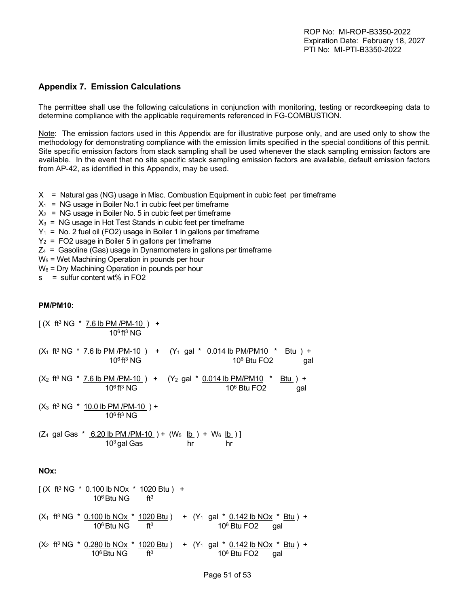## <span id="page-50-0"></span>**Appendix 7. Emission Calculations**

The permittee shall use the following calculations in conjunction with monitoring, testing or recordkeeping data to determine compliance with the applicable requirements referenced in FG-COMBUSTION.

Note: The emission factors used in this Appendix are for illustrative purpose only, and are used only to show the methodology for demonstrating compliance with the emission limits specified in the special conditions of this permit. Site specific emission factors from stack sampling shall be used whenever the stack sampling emission factors are available. In the event that no site specific stack sampling emission factors are available, default emission factors from AP-42, as identified in this Appendix, may be used.

- $X =$  Natural gas (NG) usage in Misc. Combustion Equipment in cubic feet per timeframe
- $X_1$  = NG usage in Boiler No.1 in cubic feet per timeframe
- $X_2$  = NG usage in Boiler No. 5 in cubic feet per timeframe
- $X_3$  = NG usage in Hot Test Stands in cubic feet per timeframe
- $Y_1$  = No. 2 fuel oil (FO2) usage in Boiler 1 in gallons per timeframe
- $Y_2$  = FO2 usage in Boiler 5 in gallons per time frame
- $Z_4$  = Gasoline (Gas) usage in Dynamometers in gallons per timeframe
- W5 = Wet Machining Operation in pounds per hour
- W<sub>6</sub> = Dry Machining Operation in pounds per hour

 $AO6B2N$ 

s = sulfur content wt% in FO2

 $[(X$  ft<sup>3</sup> NG  $*$  7.6 lb PM /PM-10  $)$  +

#### **PM/PM10:**

| $10^6$ ft <sup>3</sup> NG                                                                                                                                      |
|----------------------------------------------------------------------------------------------------------------------------------------------------------------|
| $(X_1$ ft <sup>3</sup> NG * <u>7.6 lb PM /PM-10</u> ) + $(Y_1$ gal * 0.014 lb PM/PM10 * Btu ) +<br>$10^6$ ft <sup>3</sup> NG<br>$106$ Btu FO2<br>gal           |
| $(X_2$ ft <sup>3</sup> NG * <u>7.6 lb PM /PM-10</u> ) + $(Y_2$ gal * 0.014 lb PM/PM10 * Btu ) +<br>$10^6$ ft <sup>3</sup> NG<br>$10^6$ Btu FO2<br>gal          |
| $(X_3$ ft <sup>3</sup> NG $*$ 10.0 lb PM /PM-10 ) +<br>$10^6$ ft <sup>3</sup> NG                                                                               |
| $(Z_4$ gal Gas $*$ 6.20 lb PM /PM-10 ) + (W <sub>5</sub> lb ) + W <sub>6</sub> lb )]<br>$103$ gal Gas<br>hr<br>hr                                              |
| NOx:                                                                                                                                                           |
| $[(X$ ft <sup>3</sup> NG $*$ 0.100 lb NOx $*$ 1020 Btu) +<br>10 <sup>6</sup> Btu NG<br>$ft^3$                                                                  |
| $(X_1$ ft <sup>3</sup> NG * 0.100 lb NOx * 1020 Btu ) + $(Y_1$ gal * 0.142 lb NOx * Btu ) +<br>10 <sup>6</sup> Btu NG<br>$ft^3$<br>10 <sup>6</sup> Btu FO2 gal |
| $(X_2$ ft <sup>3</sup> NG * 0.280 lb NOx * 1020 Btu ) + (Y <sub>1</sub> gal * 0.142 lb NOx * Btu ) +<br>$10^6$ Btu NG ft <sup>3</sup><br>$106$ Btu FO2<br>qal  |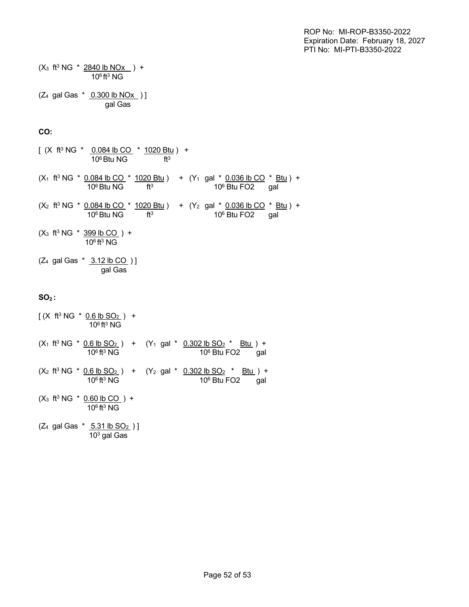$(X_3$  ft<sup>3</sup> NG  $*$  2840 lb NOx  $) +$  $10^6$  ft<sup>3</sup> NG  $(7, \text{col}$  Gas  $*$  0.300 lb NO<sub>Y</sub> ) ]

$$
(24 \text{ gal Gas} \land \underline{0.300 \text{ lb NOX}})]
$$
\n
$$
gal Gas
$$

#### **CO:**

[ (X ft<sup>3</sup> NG \* <u>0.084 lb CO</u> \* <u>1020 Btu</u> ) +  $10^6$  Btu NG ft<sup>3</sup>  $(X_1$  ft<sup>3</sup> NG  $*$  0.084 lb CO  $*$  1020 Btu ) +  $(Y_1$  gal  $*$  0.036 lb CO  $*$  Btu ) +  $10^6\,\mathrm{B}$ tu NG $\qquad\qquad$ ft $^3$   $\qquad\qquad\qquad$  10 $^6\,\mathrm{B}$ tu FO2  $\qquad$  gal  $(X_2$  ft<sup>3</sup> NG  $*$  0.084 lb CO  $*$  1020 Btu ) +  $(Y_2$  gal  $*$  0.036 lb CO  $*$  Btu ) +  $10^6\,\mathrm{B}$ tu NG $\qquad\qquad$ ft $^3$   $\qquad\qquad\qquad$  10 $^6\,\mathrm{B}$ tu FO2  $\qquad$  gal  $(X_3$  ft<sup>3</sup> NG  $*$  399 lb CO  $) +$  $10^6$  ft<sup>3</sup> NG  $(Z_4 \text{ gal Gas * } 3.12 \text{ lb CO })$ gal Gas

### **SO2 :**

 $[(X$  ft<sup>3</sup> NG  $*$  <u>0.6 lb SO<sub>2</sub></u> ) +  $10^6$  ft<sup>3</sup> NG  $(X_1$  ft<sup>3</sup> NG \* <u>0.6 lb SO<sub>2</sub></u> ) +  $(Y_1$  gal \* <u>0.302 lb SO<sub>2</sub> \* Btu</u> ) +  $10^6$  ft<sup>3</sup> NG  $10^6$ 10<sup>6</sup> Btu FO2 gal  $(X_2 \text{ ft}^3 \text{ NG }^* \text{ 0.6 lb SO}_2)$  +  $(Y_2 \text{ gal }^* \text{ 0.302 lb SO}_2 \text{ * 20 lb})$  +  $10^6$  ft<sup>3</sup> NG  $10^6$ 10<sup>6</sup> Btu FO2 gal  $(X_3$  ft<sup>3</sup> NG  $*$  0.60 lb CO  $) +$  $10^6$  ft<sup>3</sup> NG  $(Z_4$  gal Gas  $*$  5.31 lb SO<sub>2</sub>)]  $10^3$  gal Gas